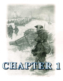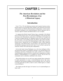# **CHAPTER 1**

# **The American Revolution and the Post-Revolutionary Era: A Historical Legacy**

# **Introduction**

From 1774 to 1783, the British government and its upstart American colony became locked in an increasingly bitter struggle as the Americans moved from violent protest over British colonial policies to independence. As this scenario developed, intelligence and counterintelligence played important roles in America's fight for freedom and British efforts to save its empire.

It is apparent that British General Thomas Gage, commander of the British forces in North America since 1763, had good intelligence on the growing rebel movement in the Massachusetts colony prior to the Battles of Lexington and Concord. His highest paid spy, Dr. Benjamin Church, sat in the inner circle of the small group of men plotting against the British. Gage failed miserably, however, in the covert action and counterintelligence fields. Gage's successor, General Howe, shunned the use of intelligence assets, which impacted significantly on the British efforts. General Clinton, who replaced Howe, built an admirable espionage network but by then it was too late to prevent the American colonies from achieving their independence.

On the other hand, George Washington was a first class intelligence officer who placed great reliance on intelligence and kept a very personal hand on his intelligence operations. Washington also made excellent use of offensive counterintelligence operations but never created a unit or organization to conduct defensive counterintelligence or to coordinate its activity. This he left to his commanders and to committees established in the colonies.

When the Revolution was over and a new nation emerged, there continued to be ample opportunities to create a counterintelligence service. Spy scares, conspiracies and European meddling occurred repeatedly. But it isn't until the Civil War period that an effort is made to create a federal agency to conduct counterintelligence.

This chapter provides the legacy for America's use of counterintelligence in future years.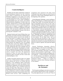# Counterintelligence

Probably the first patriot organization created for counterintelligence purposes was the Committee (later called a Commission) for Detecting and Defeating Conspiracies. It was made up of a series of groups established in New York between June of 1776 and January of 1778 to collect intelligence, apprehend British spies and couriers, and examine suspected British sympathizers. In effect, there was created a "special service" for New York which had the power to arrest, to convict, to grant bail or parole, and to jail or to deport. A company of militia was placed under its command to implement its broader charter. John Jay has been called the first chief of American counterintelligence because of his role in directing this Committee's work.

Nathaniel Sackett and Colonel William Duer were particularly successful in ferreting out British agents, but found their greatest success in the missions of one of the dozen or so agents of their own, Enoch Crosby. Crosby, a veteran of the Continental Army, had been mistaken by a Westchester County Tory as being someone who shared his views. He confided to Crosby that a secret Tory military company was being formed and introduced him to the group. Crosby reported the plot to the committee and was "captured" with the group. He managed to "escape" and, at Committee direction, infiltrated another secret Tory unit. This unit, including Crosby, was also taken and he "escaped" once more. He repeated the operation at least two more times before Tory suspicions made it necessary for him to retire from counterintelligence work.

Another successful American agent was Captain David Gray of Massachusetts. Posing as a deserter, Gray entered the service of Colonel Beverly Robinson, a Tory intelligence officer, and became Robinson's courier. As a result, the contents of each of Robinson's dispatches were read by the Americans before their delivery. Gray eventually became the courier for Major Oliver DeLancey, Jr., the head of the British secret service in New York. For two years, Gray, as DeLancey's courier to Canada, successfully penetrated the principal communications link of the British secret service. Upon completing his assignment, Gray returned to the ranks of the Continental Army and his name was struck from the deserter list, where George Washington placed it at the beginning of the operation.

Colonel Benjamin Tallmadge, a senior intelligence officer under Washington, is credited with the capture of Major John Andre, who preceded DeLancey as chief of the British secret service in New York. Although Tallmadge declined to discuss the episode in his memoirs, it is said that one of his agents had reported to him that Major Andre was in contact with a "John Anderson" who was expecting the surrender of a major patriot installation. Learning that a "John Anderson" had passed through the lines "en route to" General Benedict Arnold, the commander at West Point, Tallmadge had Anderson apprehended and returned for interrogation. "Anderson" admitted to his true identity—he was Major Andre—and was tried, convicted and executed as a spy. Arnold, learning that Andre had been taken and that his own traitorous role no doubt was exposed, fled West Point before he could be captured, and joined the British forces.

General Washington demanded effective counterintelligence work from his subordinates. On March 24, 1776, for example, he wrote: "There is one evil I dread, and that is, their spies. I could wish, therefore, the most attentive watch be kept ... I wish a dozen or more of honest sensible and diligent men, were employed . . .in order to question, cross question etc., all such persons as are unknown, and cannot give an account of themselves in a straight and satisfactory manner ... I think it is a matter of importance to prevent them obtaining intelligence of our situation."

# **Paul Revere and** the Mechanics

The first patriot intelligence network on record was a secret group in Boston known as the "mechanics." The group apparently grew out of the old "Sons of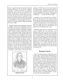Liberty" organization that had successfully opposed the hated Stamp Act. The "mechanics" organized resistance to British authority and gathered intelligence. In the words of one of its members, Paul Revere, "In the Fall of 1774 and winter of 1775, I was one of the upwards of thirty, chiefly mechanics, who formed ourselves into a Committee for the purpose of watching British soldiers and gaining every intelligence on the movements of the Tories." According to Revere, "We frequently took turns, two and two, to watch the (British) soldiers by patrolling the streets at night."

Through a number of their intelligence sources, the "mechanics" were able to see through the cover story the British had devised to mask their march on Lexington and Concord. Dr. Joseph Warren, chairman of the Committee of Safety, charged Revere with the task of warning John Adams and John Hancock at Lexington that they were the probably targets of the enemy operation. Revere arranged for the warning lanterns to be placed in the Old North Church to alert patriot forces at Charleston, and then set off on his famous ride. He completed his primary mission of notifying Adams and Hancock. Then Revere, along with Dr. Samuel Prescott and William Dawes, rode on to alert Concord, only to be apprehended by the British en route. Dawes got away, and Dr. Prescott managed to escape soon afterward and to alert the patriots at Concord. Revere was interrogated and subsequently released, after which he returned to Lexington to warn Hancock and Adams of the



**Benjamin Church** 

proximity of British forces. Revere then turned to still another mission, retrieving from the local tavern a trunk belonging to Hancock and filled with incriminating papers. With John Lowell, Revere went to the tavern and, as he put, during a "continual roar" of Musquetry . . . we made off with the Trunk."

Fortunately, when interrogated by the British, Revere did not have his travel orders from Dr. Warren: the authorization was not issued to him until two weeks later. And when Paul Revere filed a travel voucher for his famous ride, it was not until August, some four months later, that it was approved—and when it was approved, his per diem payment was reduced from five shillings a day to four.

Paul Revere had served as a courier prior to his famous "midnight ride," and continued to do so during the early years of the war. One of his earlier missions was perhaps as important as the Lexington ride. In December of 1774, Revere rode to the Oyster River with the intelligence report that the British, under General Gage, intended to seize Fort William and Mary. Armed with this intelligence, Major John Sullivan of the colonial militia led a force of four hundred men—all in civilian clothing rather than militia uniform—in an attack on the fort. The one hundred barrels of gunpowder taken in the raid were ultimately used by the patriots to cover their retreat from Bunker Hill.

### Benjamin Church<sup>1</sup>

In late 1768, British troops commanded by General Thomas Gage occupied Boston, Massachusetts to curb the widely separated incidents of mob disorder that troubled the city following the enactment of the Townsend Acts. The Acts, which levied custom duties on the import of glass, lead, paints, paper and tea, was the latest in a series of burdensome taxation measures the British Parliament tried to impose on the colonies. Skirmishes occurred between Gage's troops and the civilian population in opposition to the tax. On 5 March, 1770, five men, "the first to defy and the first to die," were felled by British gunfire in what is termed the "Boston Massacre." From that moment, wrote Daniel Webster, "we date the serverence of the British empire."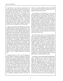Paul Revere's now famous engraving of the incident stirred emotion of protest in the hearts of the colonists, and Samuel Adams' well-orchestrated propaganda effort made the men martyrs and a symbol of the patriot cause. In response to the growing anger, General Gage strengthened the Boston garrison. When 1775 began, Gage had almost forty-five hundred soldiers in the city. The patriots were not idle during this time frame. They raised and drilled additional militia units throughout Massachusetts and continued to gather arms, ammunition and other military supplies which they cached at secret storehouses in the countryside.

Gage was aware that continued flare-ups between the British and the colonists could ignite into a war and he wanted to avoid precipitating such action. He also knew that to avoid a fight he needed military intelligence on the militia units within Massachusetts. Gage, who also served as colonial governor of Massachusetts, established a network of spies among the patriots. These spies provided information, sometimes in great detail, on the military preparations of the patriots. For example, in March 1774, one of his secret agents reported the patriots had stockpiled weapons and ammunition at Cambridge. On 1 September that year, the British successfully raided the Cambridge warehouse. The patriots, knowing that they needed information to avoid losing their munitions, created a small surveillance committee within the Sons of Liberty in Boston. The Sons of Liberty were secret organizations within the colonies, started in 1765, to organize opposition to the Stamp Act.

During the winter of 1774-75, the 30 members of the surveillance committee met regularly at the Green Dragon Tavern on Union Street in Boston. Members of the group regularly patrolled Boston's streets at night to detect British military preparations and other activity. They constituted an early warning system for the patriots by identifying possible British raids into the countryside which would allow their colleagues to move their military stores to new secret locations before British troops arrived. For example, in December 1774, the committee acquired intelligence that General Gage arranged to fortify a British arsenal at Portsmouth, New Hampshire with two regiments, intelligence that drove the Sons of Liberty to raid the installation before the British arrived and haul off about a hundred barrels of gunpowder and several cannons.

The leadership of the Mechanics, as the Green Dragon group is now sometimes called, consisted of Dr. Joseph Warren, Samuel Adams, John Hancock, Paul Revere, Dr. Benjamin Church, and one or two others. It is believed that Warren, a prominent Boston physician and later a major general who was killed at Bunker Hill, was leader of the group. Church, another physician and political leader, was also a member of the Boston Committee of Correspondence and Safety, the latter body responsible for control of the militia. A minor poet as well as a medical man, Church was a prolific author of Patriot propaganda and was famous for the oration he delivered in commemoration of the Boston Massacre on the third anniversary of that event.

Dr. Church was also one of General Gage's informers, a British double agent and probably the most valuable spy the British had in America at the time. Church was a native of Newport, Rhode Island. He graduated from Harvard in 1754 and went to England to study medicine at the London Medical College. Possibly in 1768, he returned to America with an English wife and began practicing medicine in Raynham, Massachusetts. Still accustomed to living a life of indulgence, which he acquired in London, Church kept a mistress and built an elaborate summer home. His penchant for free spending did not match his income from his medical practice. To compensate and obtain additional money, Church added spying to his professional resume.

No one knows when Church began his double agent career. "Whether he was driven by his debt or by doubt that the patriots could win, Church had apparently begun spying in 1771, while Samuel Adams was struggling to keep the cause alive. The next year, Thomas Hutchinson<sup>2</sup> had passed along gratifying news to Francis Bernard<sup>3</sup> in London that the man<sup>4</sup> who had written insultingly against Bernard had come over to the government's side."<sup>5</sup> Another writer states "It is not possible to pinpoint the exact date that Church began his spying for Gage, but a reasonable guess is 1774. In that year, Paul Revere was aware that the activities of his secret group, of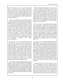which Church was a part, were known to General Gage. According to Dr. Savage of Barnstable, Massachusetts, who was training with Church at the same time, the latter's finances suddenly improved. Previously, Church had been financially pressed, built a mansion in Raynham which appeared beyond his means and acquired a mistress; classic indicators for counterintelligence."<sup>6</sup>

Paul Revere, who had his own spies within General Gage's command, knew that the Mechanics had been penetrated. Revere received information in November 1774 from his source that the proceedings of at least one meeting at the Green Dragon were known to Gage within 24 hours after the meeting. The only problem was the source could not provide Revere with the identity of the traitor. "We did not then distrust Dr. Church," he later remembered, "but supposed it must be some one among us." The only security measure the Mechanics adopted was to have each member swear on a Bible at every meeting at the Green Dragon that he would not divulge the group's secrets; admirable procedure but hardly an counterintelligence.

On April 14, 1775, Lord Dartmouth, British secretary for the colonies, sent secret instructions to Gage pressing him to take some forceful action against the patriots, such as arresting their leaders, before the situation in Massachusetts reached "A riper state of Rebellion." Gage ignored Lord Dartmouth's direction. Instead, Gage decided to capture the patriot military stockpile that Dr. Church and several other agents reported were located in Concord. In fact, the General's intelligence was so comprehensive he knew the exact location of the military stockpile within the town. Gage issued secret orders to Lt. Col. Francis Smith to proceed with a 700-man force to destroy the patriot ammunition and supply stores.

The surveillance committee obtained information on the destiny of the troops and sent Paul Revere and William Dawes to alert the patriots. They were later joined by Dr. Samuel Prescott. On the way to Concord, they encountered a mounted British patrol. Dawes escaped but had to return to Boston, Revere was captured and taken to Lexington where he told the British everything and then was released. Prescott managed to evade the patrol and get the message to Concord.

When Col. Smith and his troops arrived at Concord, he found 70 Minute Men waiting for him on the Common. Ordered repeatedly to leave the Common area, the Minute Men began to leave but ignored a British order to leave their weapons behind. A shot was fire from within the British ranks, followed by a volley from the British platoons. The gunshots killed eight patriots and wounded 10 others. Only one British soldier was wounded in the return fire. Smith destroyed a few military supplies in Concord and then began his return to Boston.

On his way back, he encountered patriot militiamen who continually assaulted his troops. British reinforcements at Lexington saved Smith and his troops from a complete disaster but it wasn't until all the British troops arrived in Charlestown, where British men-ofwar were in the harbor, that Smith could feel comfortable. The British lost 73 killed, 174 wounded and 26 were missing while the American militia suffered 93 dead, wounded or missing. Following the battles of Lexington and Concord, the American militia men surrounded Boston and began a siege, which lasted until March 1776.

On April 21, 1775, after the patriots had driven the British troops back into Boston, Church crossed the patriot lines at Cambridge and entered the besieged city to meet with Gage. It is probable that Church ignored the security risks to his espionage role for Gage because he was more concerned about maintaining contact and getting paid. Paul Revere recalled 23 years after this happened that Church told the Committee of Safety that he was going into Boston. Dr. Warren, the president of the committee, told Church that the British would hang him if he was caught but Church was adamant about going. Warren then told Church that he needed to have a cover story for being in Boston and both men devised the story that Church was there to obtain needed medicines.

According to Revere, Church returned in a few days to Cambridge. He told the committee he had been arrested, taken before Gage, and then held for several days for interrogation but set free. Revere said that after Church's arrest later by Washington, Revere met with Deacon Caleb Davis and the two of them began to discuss Church. Revere said that "He (Davis) received a Bilet for General Gage-(he then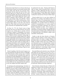did not know that Church was in Town)-when he got to the General's House, he was told the General could not be spoke with, that He was in private with a gentleman; that He waited near half an Hour, when General Gage & Dr. Church came out of a room, discoursing together, like persons who had been long acquainted." Davis further added that Church "went where he pleased, while in Boston, only a Major Caine, one of Gage's Aids, went with him." Revere also said that he "was told by another person, whom I could depend upon, that he saw Church go into General Gage's House, at the above time; that He gout out of the Chaise and went up the steps more like a man that was acquainted than a prisoner."7

On May 24, 1775, Dr. Church wrote to Gage advising him that the Massachusetts Provincial Congress was sending him to consult with the Continental Congress in Philadelphia. His mission was to appeal to the Congress to embody the various New England militias, currently laying siege to Boston, as its own army. Neither Gage nor Dr. Church saw the opportunities presented by having a British double agent handle such an important and sensitive assignment. Church was in a unique position to spread havoc within the patriot ranks by feeding false or misleading information to the Continental Congress and/or working to defeat the assignment. The only thing Church complained about to Gage was that he would be prevented from reporting to Gage for some time.

Church's handling of the Provincial Congress was so successful that soon after his return to Cambridge, the Massachusetts militias laying siege to Boston were converted into the Continental army under the command of George Washington. So impressive was Church that the Continental Congress appointed him director general of the army's hospital at Cambridge and chief physician of the Continental army at a salary of four dollars per day and granted him the authority to hire four surgeons and other medical staff.

In espionage and counterespionage, luck plays an important role. For Church his luck began to run out when he received a letter in cipher from his brotherin-law, John Fleming, a Boston printer and bookseller. In his letter, Fleming urged Church to repent his rebellion against the British government and return to Boston, where Fleming believed Church would be pardoned for his crime. Fleming told Church to reply no matter what his decision and to write his response in cipher, addressing the letter in care of Major Cane (one of General Gage's aides) and send it via Captain Wallace<sup>8</sup> of the H.M.S. Rose, a British warship then stationed near Newport, Rhode Island.

Church replied, but it is not clear whether he believed he was writing to his brother-in-law or to General Gage. Since all communications between Church and Gage ceased when Church departed for Philadelphia, it is possible Church saw Fleming's method of communication as a secure means of resuming his profitable espionage role with the British commander-in chief. In his response to Fleming, Church provided some exaggerated information on American military strength and some inaccurate reports of military plans, all framed within an impassioned plea to the British to adopt a more reasonable colonial policy.

Unable to take the letter directly to Newport, Church asked his mistress to take it there. Church told her to deliver the letter to Captain Wallace of the H.M.S. Rose, or to the Royal Collector, Charles Dudley. If neither of these men were available, she was instructed to give it to George Rome, a known Tory and a rich merchant and ship owner. Not familiar with the Newport environs, the mistress went to Godfrey Wainwood,<sup>9</sup> a local baker, whom she had known in Boston and believed to be a Tory.

She asked Wainwood to take her to any of the three individuals but he made an excuse not to do so. Exasperated, she then asked Wainwood to deliver the letter for her. Wainwood agreed but deposited the letter on a shelf and forgot about it until late September 1775, when he received a pressing inquiry from the woman expressing her concerned that "you never Sent wot yo promest to send." Realizing that only the British could have known that the letter was not delivered, Wainwood became suspicious.

Some historians claimed that part of Wainwood's suspicions is based on the fact that the letter was in cipher, but cipher was used by many people, including Thomas Jefferson for personal letters during the colonial days. What caused Wainwood's suspicions is the British officer as the recipient of the letter. Instead of doing as the woman requested,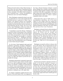Wainwood took the letter to Henry Ward, Secretary of the Colony, who wrote a letter of introduction and sent Wainwood with Church's letter to General Nathaniel Green, commander of the Rhode Island contingent of the Continental army. Greene, accompanied by Wainwood, went to see General Washington.

When Washington examined the letter he saw that it was dated July 22, (1775) on the outside and when unfolded showed it addressed to Major Cane in Boston. The ciphered contents were unreadable. Wainwood explained that before the outbreak of hostilities between the British and the Americans, he had fraternized with the woman, who was of easy virtue. Upon Washington's orders, the woman was seized and brought to Washington's Headquarters.

"I immediately secured the Woman," Washington reported in a letter to the president of the Continental Congress, "but for a long time she was proof against every threat and persuasion to discover the Author, however at length she was brought to a confession and named Dr. Church."<sup>10</sup> Washington told James Warren and Major Joseph Hawley the details of the woman's story and ordered them to go to Cambridge to arrest Church and get his papers.

In a few hours, Church appeared under guard and submitted to questioning. According to Washington's letter, he "readily acknowledged the Letter. Said it was designed for his Brother Fleming and when deciphered wou'd be found to contain nothing Criminal." Church offered no justification why he tried to send the letter to Boston by way of a British warship off Rhode Island when he have easily sent it under a flag of truce into the city from Cambridge. He also could not explain why he wrote it in cipher and refused to provide the key to decipher the message.

Washington informed the Continental Congress that a search of Church's papers failed to find the cipher key or any other incriminating evidence, but added that he was told that a confident of Church had been to Church's home and probably removed all the incriminating items before Washington's men arrived to conduct the search. Washington then turned his attention to finding the key to the cipher letter.

An amateur cryptanalyst stepped forward in the person of Reverend Samuel West, who happened to have been a Harvard classmate of Church. A second person, Elbridge Gerry, a member of the Massachusetts Provincial Congress and the Committee of Safety, who would later be the fifth vice-president of the United States, teamed with Colonel Elisha Porter, a colonel in the Massachusetts militia, to conduct a separate cryptanalytic attack on the cipher.

Church had used a type of cipher known as a monoalphabetic substitution, one of the easiest ciphers to solve (Edgar Allen Poe explains the technique in his short story *The Gold Bug*). Both West and the Gerry-Porter team provided Washington with identical translations of the letter: (see insert entiled West and Gerry-Porter Letter Translation).

Washington confronted Church with the deciphered text. In response, Church said he only sought to impress the British with the strength and determination of the Patriots and wanted to discourage General Gage from carrying on further military action. He asserted the letter was not an intelligence report. General Washington was not persuaded by his explanation, particularly since the last line read "Make use of every precaution, or I perish."

Washington convened his officers to discuss what to do with Church. They all agreed that the issue should be presented to the Continental Congress. Washington noted in his letter that he wanted Congress to review the 28th article of war to determine if it applied to Church."<sup>11</sup> On orders of the Continental Congress, Church was confined at Norwich, Connecticut.<sup>12</sup> Within a year or two-there is some confusion over the date in the record-he was released and permitted to depart on a schooner for the West Indies. Neither the ship nor the doctor was heard from again. Presumable both were lost at sea.

The full extent of Church's espionage activities on behalf of the British remained a mystery to Washington and the other patriot leaders. The only evidence they had was the intercepted letter. From the letter they could surmise that Church had previously provided intelligence to Gage but they did not know how much or on what topics. It was only when historians found Church's earlier reports among General Gage's papers did Church's double agent role become clear.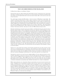#### WEST AND GERRY-PORTER LETTER TRANSLATION

TO MAJOR CRANE IN BOSTON, ON HIS MAGISTY'S SERVICE

I HOPE THIS WILL REACH YOU; THREE ATTEMPTS HAVE I MADE WITHOUT SUCCESS. IN EFFECTING THE LAST, THE MAN WAS DISCOVERED IN ATTEMPTING HIS ESCAPE, BUT FORTUNATELY MY LETTER WAS SEWED IN THE WAISTBAND OF HIS BREECHES. HE WAS CONFINED A FEW DAYS DURING WHICH TIME YOU MAY HAVE GUESS MY FEELINGS. BUT A LITTLE ART AND A LITTLE CASH SETTLED THE MATTER.

TIS A MONTH SINCE MY RETURN FROM PHII ADELPHIA I WENT BY THE WAY OF PROVIDENCE TO VISIT MOTHER THE COMMITTEE FOR WARLIKE STORES MADE ME A FORMAL TENDER OF 12 PIECES OF CANNON, 18 AND 24 POUNDERS, THEY HAVING TO A PREVIOUS RESOLUTION TO MAKE THE OFFER TO GENERAL WARD. TO MAKE A MERIT OF MY SERVICES, I SENT THEM DOWN AND WHEN THEY RECEIVED THEM THEY SENT THEM TO STOUGHTON TO BE OUT OF DANGER, EVEN THO' THEY HAD FORMED THE RESOLUTION AS I BEFORE HINTED OF FORTIFYING BUNKER'S HILL, WHICH TOGETHER WITH THE COWARDICE OF THE CLUSMY COL GERRISH AND COL SCAMMON, WERE THE LUCKY OCCASION OF THEIR DEFEAT. THIS AFFAIR HAPPENED BEFORE MY RETURN FROM PHILADELPHIA. WE LOST 165 KILLED THEN AND SINCE DEAD OF THEIR WOUNDS, 120 NOW LIE WOUNDED. THE CHIEF WILL RECOVER,. THEY BOAST YOU HAVE LOST 1500, I SUPPOSE, WITH EQUAL TRUTH.

THE PEOPLE OF CONNECTICUT ARE RAVING IN THE CAUSE OF LIBERTY. A NUMBER FROM THIS COLONY, FROM THE TOWN OF STANFORD, ROBBED THE KING'S STORES AT NEW YORK WITH SOME SMALL ASSISTANCE THE NEW YORKERS LENT THEM. THESE WERE GROWING TURBULENT. I COUNTED 280 PIECES OF CANNON FROM 24 TO 3 POUNDERS AT KING'S BRIDGE WHICH THE COMMITTEE HAD SECURED FOR THE USE OF THE COLONIES. THE JERSIES ARE NOT A WHIT BEHIND CONNECTICUT IN ZEAL. THE PHILADELPHIANS EXCEED THEM BOTH. I SAW 2200 MEN IN REVIEW THERE BY GENERAL LEE, CONSISTING OF QUAKERS AND OTHER INHABITANTS IN UNIFORM, WITH 1000 RIFFLE MEN AND HORSE WHO TOGETHER MADE A MOST WARLIKE APPEARANCE. I MINGLED FREELY AND FREQUENTLY WITH THE MEMBERS OF THE CONTINENTAL CONGRESS. THEY WERE, UNITED, DETERMINED IN OPPOSITION, AND APPEARED ASSURED OF SUCCESS. NOW TO COME HOME; THE OPPOSITION IS BECOME FORMIDABLE; 18 THOUSAND MEN BRAVE AND DETERMINED WITH WASHINGTON AND LEE AT THEIR HEAD ARE NO CONTEMPTIBLE ENEMY. ADJUTANT GENERAL GATES IN INDEFATIGABLE IN ARRANGING THE ARMY. PROVISIONS ARE VERY PLENTY. CLOATHS (SIC) ARE MANUFACTURING IN ALMOST EVERY TOWN FOR THE SOLDIERS. TWENTY TONS OF POWDER LATELY ARRIVED AT PHILADELPHIA, CONNECTICUT AND PROVIDENCE. UPWARDS OF 20 TONS ARE NOW IN CAMP. SALT PETRE IS MADE IN EVERY COLONY. POWDER MILLS ARE ERECTED AND CONSTANTLY EMPLOYED IN PHILADELPHIA AND NEW YORK. VOLUNTEERS OF THE FIRST FORTUNES ARE DAILY FLOCKING TO CAMP. ONE THOUSAND RIFFLE MEN IN 2 OR 3 DAYS RECRUITS ARE NOW LEVYING TO AUGMENT THE ARMY TO 22 THOUSAND MEN. TEN THOUSAND MILITIA ARE NOW APPOINTED IN THIS GOVERNMENT TO APPEAR ON THE FIRST SUMMONS.

THE BILLS OF ALL THE COLONIES CIRCULATE FREELY AND ARE READILY EXCHANGED FOR CASH. ADD TO THIS THAT, UNLESS SOME PLAN OF ACCOMMODATION TAKES PLACE IMMEDIATELY, THESE HARBOURS WILL SWARM WITH PRIVATEERS. AN ARMY WILL BE RAISED IN THE MIDDLE PROVINCES TO TAKE POSSESSION OF CANADA. FOR THE SAKE OF THE MISERABLE CONVULSED EMPIRE, SOLICIT PEACE, REPEAL THE ACTS OR BRITAIN IS UNDONE. THIS ADVICE IS THE RESULT OF WARM AFFECTION TO MY KING AND TO THE REALM. REMEMBER, I NEVER DECEIVED YOU. EVERY ARTICLE HERE SENT YOU IS SACREDLY TRUE.

THE PAPERS WILL ANNOUNCE TO YOU THAT I AM AGAIN A MEMBER FOR BOSTON. YOU WILL THERE SEE OUR MOTLEY COUNCIL. A GENERAL ARRANGEMENT OF OFFICES WILL TAKE PLACE, EXCEPT THE CHIEF WHICH WILL BE SUSPENDED BUY FOR A LITTLE WHILE TO SEE WHAT PART BRITAIN TAKES IN CONSEQUENCE OF THE LATE CONTINENTAL PETITION. A VIEW TO INDEPENDENCE GROWS MORE AND MORE GENERAL. SHOULD BRITAIN DECLARE WAR AGAINST THE COLONIES, THEY ARE LOST FOREVER. SHOULD SPAIN DECLARE AGAINST ENGLAND, THE COLONIES WILL DECLARE A NEUTRALITY WHICH WILL DOUBTLESS PRODUCE AN OFFENSIVE AND DEFENSIVE LEAGUE BETWEEN THEM. FOR GOD'S SAKE PREVENT IT BY A SPEEDY ACCOMMODATION.

WRITING THIS HAS EMPLOYED A DAY. I HAVE BEEN TO SALEM TO RECONNOITRE, BUT COULD NOT ESCAPE THE GEESE OF THE CAPITAL. TOMORROW, I SET OUT FOR NEWPORT ON PURPOSE TO SEND YOU THIS. I WRITE YOU FULLY, IT BEING SCARCELY POSSIBLE TO ESCAPE DISCOVERY. I AM OUT OF PLACE HERE BY CHOICE; AND THEREFORE, OUT OF PAY, AND DETERMINED TO BE SO UNLESS SOMETHING IS OFFERED MY WAY. I WISH YOU COULD CONTRIVE TO WRITE ME LARGELY IN CIPHER, BY THE WAY OF NEWPORT, ADDRESSED TO THOMAS RICHARDS, MERCHANT. INCLOSE IT IN A COVER TO ME, INTIMATING THAT I AM A PERFECT STRANGER TO YOU, BUT BEING RECOMMENDED TO YOU AS A GENTLEMEN OF HONOUR, YOU TOOK THE LIBERTY TO INCLOSE THAT LETTER, INTREATING ME TO DELIVER IT AS DIRECTED, THE PERSON, AS YOU ARE INFORMED, BEING AT CAMBRIDGE. SIGN SOME FICTIONAL NAME. THIS YOU MAY SEND TO SOME CONFIDENTIAL FRIEND IN NEWPORT, TO BE DELIVERED TO ME AT WATERTOWN. MAKE USE OF EVERY PRECAUTION OR I PERISH.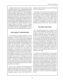It appears Church may have been a volunteer walk-in or a defector-in-place, not a well-planned recruitment operation by Gage. Fortunately for the patriot's cause, Gage was mainly interested in the military intelligence Church provided. Gage failed to see the political importance Church offered to the British. For in Church, Gage had a penetration of the Patriot's inner circle in Massachusetts, a spy who sat at the secret meetings of the Committee of Correspondence and Safety, who was a trusted member of the Mechanics, and who even served briefly as liaison with the Continental Congress, but was never exploited for his political reporting or used to conduct political sabotage. It was a major shortsightedness of Gage. Church's espionage did have one positive benefit for counterintelligence, it lead to the enactment of the first espionage law in the colonies.

## **Intercepting Communications**

The Continental Congress regularly received quantities of intercepted British and Tory mail. On November 20, 1775, it received some intercepted letters from Cork, Ireland, and appointed a committee made up of John Adams, Benjamin Franklin, Thomas Johnson, Robert Livingston, Edward Rutledge, James Wilson and George Wythe "to select such parts of them as may be proper to publish." The Congress later ordered a thousand copies of the portions selected by the Committee to be printed and distributed. A month later, when another batch of intercepted mail was received, a second committee was appointed to examine it. On the basis of its report, the Congress resolved that "the contents of the intercepted letters this day read, and the steps which Congress may taken in consequence of said intelligence thereby given, be kept secret until further orders..." By early 1776, abuses were noted in the practice, and Congress resolved that only the councils or committees of safety of each colony, and their designees, could henceforth open the mail or detain any letters from the post.

James Lovell is credited with breaking British ciphers, but perhaps the first to do so was the team of Elbridge Gerry, Elisha Porter and the Rev. Samuel West who successfully decoded the intercepted intelligence reports written to the British by Dr. Benjamin Church, the Director General of Hospitals for the Continental army.

When Moses Harris reported that the British had recruited him as a courier to carry messages for their Secret Service, General Washington proposed that General Schuyler "contrive a means of opening them without breaking the seals, take copies of the contents, and then let them go on. By these means we should become masters of the whole plot..." From that point on, Washington was privy to British intelligence pouches between New York and Canada.

## **Deception Operations**

To offset British superiority in firepower and troops, General Washington made frequent use of deception operations. He allowed fabricated documents to fall in the hands of enemy agents or to be discussed in their presence. He allowed his couriers—carrying bogus information-to be captured by the British, and inserted forged documents in intercepted British pouches that were then permitted to go on to their destination. Washington even had fake military facilities built. He managed to make the British believe that his three thousand man army was outside Philadelphia was 40,000 strong! With elaborate deception, Washington masked his movement toward Chesapeake Bay—and victory at Yorktown—by convincing the British that he was moving on New York.

At Yorktown, James Armistead, a slave who joined Lafayette's service with his master's permission, crossed into Cornwallis' lines in the guise of an escaped slave, and was recruited by Cornwallis to return to American lines as a spy. Lafayette gave him a fabricated order that supposedly was destined for a large number of patriot replacements-a force that did not exist. Armistead delivered the bogus order in crumpled dirty condition to Cornwallis, claiming to have found it along the road during his spy mission. Cornwallis believed him and did not want to believe he had been tricked until after the battle of Yorktown. Armistead was granted his freedom by the Virginia legislature as a result of this and other intelligence services.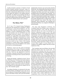Another deception operation at Yorktown found Charles Morgan entering Cornwallis' camp as a deserter. When debriefed by the British, he convinced them that Lafayette had sufficient boats to move his troops against the British in one landing operation. Cornwallis was duped by the operation and dug in rather than march out of Yorktown. Morgan in turn escaped in a British uniform and returned to American lines with five British deserters and a prisoner!

# The Hickey Plot<sup>13</sup>

On 21 June 1776, General George Washington authorized and requested the Committee to Detect Conspiracies to arrest David Matthews, the Tory mayor of New York City, and confiscate his papers. Matthews, accused of distributing money to enlist men and purchase arms for the British cause and corrupting American soldiers, was residing at Flatbush, on Long Island, near General Greene's encampment. Washington transmitted the warrant drawn by the Committee to General Greene on the 21st with directions that it should be executed with precision exactly at one o'clock of the ensuing morning by a careful officer. Greene dispatched a detachment of men who took Matthews into custody but found no incriminating papers.

Matthews' arrest was the result of hearings conducted from 19 to 21 June 1776 by the Committee to Detect Conspiracies under the able leadership of John Jay. Until Jay was appointed to head the Committee, it had put off real efforts to uncover any information concerning activities or persons still loyal to the king.

During the hearings, conducted at Scott's Tavern on Wall Street, the Committee first heard testimony from Isaac Ketchum, a counterfeiter who had been arrested and was incarcerated in the City Hall jail. Ketchum wanted to work a deal with the Committee; in exchange for his information he wanted to be set free. The Committee agreed.

According to Ketchum, two prisoners by the name of Thomas Hickey and Michael Lynch, who were in jail on suspicion of counterfeiting, attempted to recruit him for the British. Hickey and Lynch both said they abandoned the American cause and secretly joined the British side. They indicated that others had also secretly agreed to serve the British. Ketchum further told the Committee that Hickey and Lynch were recruited to the British cause by an individual name "Horbush." The Committee at first was unable to identify Horbush but soon realized that Ketchum probably meant "Forbush," which is a variant of the name Forbes. The Committee then quickly identified Forbes as Gilbert Forbes, a wellknown gunsmith who owned "The Sign of the Sportsman" shop on Broadway. The Committee also determined that Hickey was a sergeant in Washington's personal guards.

Two days after Ketchum's testimony, the Committee heard from William Leary, a prominent local businessman. Leary told the American authorities that he was in the city hunting for a runaway indentured worker of his who had disappeared. Leary successfully found the worker but later lost him. As he was walking around the city, he accidentally met another former employee James Mason. Mason, believing that Leary had left the company, asked Leary if he was in New York to join the other men. Leary, not knowing what Mason was discussing, feigned agreement. Mason, joined by several others, began to recruit Mason into a conspiracy but suddenly stopped when they became suspicious of him.

The Committee interviewed Mason who provided additional details about the Loyalist plot. He informed the Committee that men were being recruited to join a special Tory corps and had received pay from Governor Tryon. A Sergeant Graham, an old soldier, formerly of the royal artillery, had been recruited by Tryon to prowl around and survey the grounds and works about the city and Long Island. Based on his information, a plan of action was conceived. Upon arrival of the fleet, a man-of-war would cannonade the battery at Red Hook. While doing so, a detachment of the army would land below the cannonade and by a circuitous route surprise and storm the works on Long Island. The ships would then divide with some sailing up the Hudson River and the others up the East River. Troops were to land above New York, secure the pass at King's Bridge and cut off all communications between the city and the country. Upon a signal, artillerymen who were conspirators were to turn their cannon on the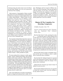American troops, the ammo stores were to be blown up and King's Bridge was to be cut to prevent the Americans from escaping.

Under pressure of interrogation, Mason revealed the names of several of Washington's guards: Hickey, William Green (drummer), James Johnson (fifer), and a soldier named Barnes. Gilbert Forbes was the paymaster, giving the men ten shillings a week. Mason also said New York mayor Matthews contributed 100 British pounds to the plot. Mason also identified three taverns as favorite hangouts of the conspirators; The Sign of the Highlander, Lowrie's Tavern, and Corbie's Tavern. Corbie's Tavern, near Washington's quarters, was a rendezyous site for the conspirators. Thomas Hickey was supposedly recruited here. Hickey recruited Green the drummer and Johnson the fifer. According to a conversation overheard at Corbie's Tavern, Washington was to be assassinated when the British army landed, as part of a plan for a surprise attack on the core of the Continental Army.

The Committee halted further depositions and went to notify Washington. The information was sufficient for Washington to issue the warrant for Matthews' arrest. Since Hickey and Lynch had already been returned to Washington's Headquarters, they were arrested by Washington's troops. A Court-martial was convened on 24 June 1776 and Hickey was charged with "exciting and joining in a mutiny and sedition, and of treacherously corresponding with, enlisting among, and receiving pay from the enemies of the United Colonies." Hickey pleaded not guilty.

The army produced four witnesses to testify against Hickey. Greene confirmed that Hickey had accepted funds to enlist in the Loyalist plot. Gilbert Forbes also said that he gave Hickey money. Ketchum repeated the hearsay evidence he presented to the Committee and a fourth person, William Welch said that Hickey had tried to recruit him. The only defense Hickey offered was that he was trying to cheat the Tories out of their money. As to having his name placed on board the British warship, he said he agreed to it as a precaution should the British defeat the Americans and he was taken prisoner, then he would be safe.

After a short deliberation, the officers found Hickey guilty as charged and sentenced him to death. On 27 June, Washington and his Council of Officers met. They reviewed the transcript of the trial and agreed with the sentence. On 28 June 1776 Hickey was hanged. He was the only conspirator to be executed; 13 others were imprisoned. Matthews was held as a prisoner but escaped to London. After the war he testified he had formed a plan for taking Washington and his guard but it was never realized.

# **Minutes Of The Committee For Detecting Conspiracies**

(Fishkill), December 23rd, 1776

Present: Leonard Gansevoort Esgr. Chairman; John Jay, Zephaniah Platt, Nathaniel Sacket, Esgrs.

Resolved that Enoch Crosby assuming the name of do forthwith repair to Mount Ephraim and use his utmost art to discover the designs, places of resort, and route, of certain disaffected persons of that quarter, who have formed a design of joining the enemy, and that for that purpose the said Enoch be made acquainted with all the Information received by this Committee concerning this plan, and that he be furnished with such passes as will enable him to pass there without interruption, and with such others as will enable him to pass as an emissary of the enemy amongst persons disaffected to the American Cause.

Resolved that Enoch Crosby be furnished with a horse and the sum of 30 dollars in order to enable him to execute the above resolution.

Resolved that Mr. Nathaniel Sackett be requested to give such instructions to Enoch Crosby as he shall think best calculated to defeat the designs of the persons above mentioned.

Ordered that the Treasurer pay Enoch Crosby 30 dollars for secret services...

Resolved that Nathaniel Sacket Esqr. be requested to furnish Mr. Enoch Crosby with such clothing as he may stand in need of.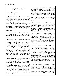# **Enoch Crosby Describes His Career As A Spy**

Southeast, Putnam County, 15 October 1832

In the latter part of the month of August in the year 1776, he enlisted into the regiment commanded by Col. Swortwaut<sup>14</sup> in Fredericksburgh now Carmel in the County of Putnam and started to join in the army The company had left at KingsBridge. Fredericksburgh before the declarent started, and he started along after his said enlistment and on his way at a place in Westchester County about two miles from Pines bridge he fell in company with a stranger, who accosted the deponent and asked him if he was going down.

The stranger then asked if declarent was not afraid to venture alone, and said there were many rebels below and he would meet with difficulty in getting down.

The declarent perceived from the observations of the stranger that he supposed the declarent intended to go to the British, and, willing to encourage that misapprehension and turn it to the best advantage, he asked if there was any mode which he the stranger could point out by which the declarent could get through safely. The stranger after being satisfied that declarent was wishing to join the British army, told him that there was a company raising in that vicinity to join the British army, and that it was nearly complete and in a few days would be ready to go down and that declarent had better join that company and go down with them.

The stranger finally gave to the declarent his name, it was Bunker, and told the declarent where and showed the house in which he lived and told him that Fowler<sup>15</sup> was to be the captain of the company then raising and Kipp<sup>16</sup> Lieutenant. After having learned this much from Bunker, the declarent told him that he was unwilling to wait until the company could be ready to march and would try to get through alone and parted from him on his way down and continued until night when he stopped at the house of a man who was called Esquire Young, and put up there for the night.

In the course of conversation with Esquire Young in the evening, the declarent learned that he was a member of the committee for safety for the county of Westchester and then communicated to him the information he had obtained from Mr. Bunker, Esqr. Young requested the declarent to accompany him the next morning to the White plains in Westchester County as the committee of safety for the County were on that day to meet at the Court house in that place.

The next morning the declarent in company with Esqr. Young went to the White plains and found the Committee there sitting. After Esqr. Young had an interview with the committee, the declarent was sent for, and went before the committee, then sitting in the Court room, and there communicated the information he had obtained from Bunker.

The Committee after learning the situation of declarent, that he was a soldier enlisted in Col. Swrotwaut's regiment and on his way to join it if he would consent to aid in the apprehension of the company then raising. It was by all thought best, that he should not join the regiment, but should act in a different character as he could thus be more useful to his country.

He was accordingly announced to Capt. Townsend who then was at the White plains commanding a company of rangers as a prisoner, and the Captain was directed to keep him until further orders. In the evening after was placed as a prisoner under Capt. Townsend, he made an excuse to go out and was accompanied by a soldier. His excuse led him over a fence into a field of corn then nearly or quite full grown. As soon as he was out of sight of the soldier he made the best of his way from the soldier and when the soldier hailed him to return he was almost beyond hearing. An alarm gun was fired but declarent was far from danger.

In the course of the night the declarent reached the house of said Bunker, who got up and let him in. The declarent then related to Bunker the circumstances of his having been taken prisoner, and his going before the Committee at the Court house, of being put under the charge of Capt. Townsend and of his escape, that he had concluded to avail himself of the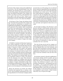protection of the company raising in his neighborhood to get down. The next morning Bunker went with declarent and introduced him as a good loyalist to several of the company. The declarent remained some days with different individuals of the company and until it was about to do down, when declarent went one night to the house of Esqr. Young to give information of the state and progress of the company. The distance was four or five miles from Bunkers.

At the house of Esqr. Young, the declarent found Capt. Townsend with a great part of his company and after giving the information he returned to the neighborhood of the Bunkers. That night the declarent and a great part of the company which was preparing to go down were made prisoners. The next day all of them, about 30, were marched to the White plains, and remained there several days, a part of the time locked up in jail with other prisoners, the residue of the time he was with the Committee. The prisoners were finally ordered to Fishkill in the County of Dutchess where the State Convention was then sitting. The declarent went as a prisoner to Fishkill. Capt. Townsend with his company of rangers took charge of the company.

At Fishkill a Committee for Detecting Conspiracies was sitting composed of John Jay, afterwards Governor of N York, Zerpeniah Platt afterwards first judge of Dutchess County, Colonel Duer of the County of Albany, & a Mr. Sackett. The declarent was called before that committee, who understood the character of declarent and the nature of his services, this the committee must have learned either from Capt. Townsend or from the Committee at White plains. The declarent was examined under oath and his examination reduced to writing. The prisoners with the declarent were kept whilst declarent remained at Fishkill in a building which had been occupied as a Hatters shop and they were guarded by a company of rangers commanded by Capt. Clark. The declarent remained about a week at Fishkill when he was bailed out by Jonathan Hopkins. This was done to cover the character in which declarent acted.

Before the declarent was bailed, the Fishkill Committee had requested him to continue in this service, and on declarent mentioning the fact of his having enlisted in Col. Swortwaut's company and the

necessity there was of his joining it, he was informed that he should be indemnified from that enlistment, that they would write to the Colonel and inform him that declarent was in their service. The Committee then wished declarent to undertake a secret service over the river. He was furnished with a secret pass, which was a writing signed by the Committee which is now lost and directed to go to the house of Nicholas Brawer near the mouth of the Wappingers creek who would take him across the river, and then to proceed to the house of John Russell about 10 miles from the river, and make such inquiries  $\&$  discoveries as he could.

He proceeded according to the directions to said Brawers, and then to John Russells, and there hired himself to said Russell to work for him but for no definite time. There was a neighborhood of Loyalists and it was expected that a company was there raising for the British army. The declarent remained about 10 days in Russells employment and during that time ascertained that a company was then raising but was not completed. Before the declarent left Fishkill on this service, a time was fixed for him to recross the river and given information to some one of the committee who was to meet him.

This time having arrived and the company not being completed, the declarent recrossed the river and met Zepeniah Platt, one of the Committee, and gave him all the information he had then obtained. The declarent was directed to recross the river to the neighborhood of Russells and on a time then fixed, again to meet the Committee on the east side of the river.

The declarent returned to Russells neighborhood, soon became intimate with the Loyalists, and was introduced to Capt. Robinson, said to be an English officer and who was to command the company then raising. Capt. Robinson occupied a cave in the mountains, and deponents—having agreed to go with the company—were invited and accepted of the invitation to lodge with Robinson in the cave. They slept together nearly a week in the cave and the time for the company to start having been fixed and the rout designated to pass Severns, to Bush Carricks where they were to stop the first night.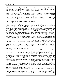The time for starting having arrived before the appointed time to meet the Committee on the east side of the river, the declarent—in order to get an opportunity to convey information to Fishkill—recommended that each man should the night before they started sleep where he chose and that each should be by himself for if they should be discovered that night together all would be taken which would avoided if they were separated.

This proposition was acceded to, and when they separated declarent not having time to go to Fishkill, and as the only and as it appeared to him the best means of giving the information, as to go to a Mr. Purdy who was a stranger to declarent and all he knew of him was that the Tories called him a wicked rebel and said that he ought to die, declarent went and found Purdy, informed him of the situation of affairs, of the time the company was to start and the place at which they were to stop the first night, and requested him to go to Fishkill and give the information to the Committee. Purdy assured the declarent that the information should be given. Declarent returned to Russells and lodged in his house.

The following evening the company assembled consisting of about thirty men and started from Russell's house which was in the Town of Marlborough and County of Ulster for New York and in the course of the night arrived at Bush Carricks and went into the barn to lodge after taking refreshments

Before morning the barn was surrounded by American troops and the whole company including Capt. Robinson were made prisoners. The troops who took the company prisoners were commanded by Capt. Melancton Smith, who commanded a company of rangers at Fishkill. His company crossed the river to perform this service.

Col. Duer was with Capt. Smith's Company on this expedition. The prisoners including the declarent were marched to Fishkill and confined in the stone church in which there was near two hundred prisoners, after remaining one night in the church the Committee sent for declarent and told him that it was unsafe for him to remain with the prisoners, as the least suspicion of the course he had pursued would prove fatal to him, and advised him to leave the village of Fishkill but to remain where they could call upon him if his services should be wanted.

Declarent went to the house of a Dutchman a farmer whose name is forgotten about five miles from the Village of Fishkill and there went to work at making shoes. After declarent had made arrangements for working at shoes he informed Mr. Sacket one of the Committee where he could be found if he should be wanted.

In about a week declarent received a letter form the Committee requesting him to meet some one of the Committee at the house of Doct. Osborn about one mile from Fishkill. Declarent according to the request went to the house of Doct. Osborn and soon after John Jay came there, inquired for the Doctor-who was absent, inquired for medicine but found none that he wanted, he came out of the house and went to his horse near which declarent stood and as he passed he said in a low voice it won't do, there are too many around, return to your work. Declarent went back and went to work at shoes but within a day or two was again notified and a horse sent to him, requiring him to go to Bennington in Vermont and from thence westerly to a place called Maloonscack, and there call on one Hazard Wilcox, a Tory of much notoriety and ascertain if anything was going on there injurious to the American cause.

Declarent followed this instructions, found Wilcox but could not learn that any secret measure was then projected against the interest of the county at the place, but learned from Wilcox a list of persons friendly to the British cause who could be safely trusted, from that place quite down to the south part of Dutchess County, declarent followed the directions of said Wilcox and called on the different individuals by him mentioned but could discover nothing of importance until he reached the town of Pawling in Duchess County where he called upon a Doctor, whose name he thinks was Prosser, and informed him that he wished to go below, but was fearful of some trouble.

The Doctor informed him that there was a company raising in that vicinity to go to New York to join the British Army, that the Captains name was Shelden that he had been down and got a commission, that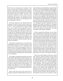the Prosser was doctoring the Lieutenant, whose name was Chase, that if declarent would wait a few days he could safely go down with that company, that he could stay about the neighborhood, and should be informed when the company was ready. That declarent remained in that vicinity, became acquainted with several of the persons who were going with that company, was acquainted with the Lieutenant Chase, but never saw the Captain to form any acquaintance with him.

The season had got so far advanced that the company were about to start to join the enemy to be ready for an early commencement of the campaign in 1777. It was about the last of February of that year, when a place was fixed and also a time for meeting. It was at a house situated half a mile from the road and about three miles from a house then occupied by Col. Morehause a militia Colonel. After the time was fixed for the marching of Capt. Sheldens company the deponent went in the night to Col. Morehause and informed him of the situation of the company of the time appointed for meeting of the place and Morehause informed declarent that they should be attended to.

The declarent remained about one month in the neighborhood, and once in the time met Mr. Sackett one of the Committee at Col. Ludingtons, and apprised him of what was then going on, and was to have given the Committee intelligence when the company was to march but the shortness of the time between the final arrangement and the time of starting was that declarent was obliged to give the information to Col. Morehause.

The company consisting of about thirty met at the time and place appointed and after they had been there an hour or two; two young men of the company came in and said there was a gathering under arms at old Morehauses, the inquiry became general, what could it mean, was there any traitors in the company. The captain soon called one or two of the company out the door for the purpose of private conversation about the situation, and very soon declarent heard the cry of stand, stand.

Those out the door ran but were soon met by a company coming from a different direction, they were

taken in the house surrounded and the company all made prisoners. The Col. then ordered them to be tied together, two and two, they came to declarent and he begged to be excused from going as he was lame and could not travel, the Col. replied, you shall go dead or alive and if in no other way you shall be carried on the horse with me, the rest were marched off and declarent put onto the horse with Col. Morehause, all went to the house of Col. Morehause and when the prisoners were marched into the house declarent with the permission of Morehause left them and made the best of his way to Col. Ludingtons and there informed him of the operations of the night, he reached Col. Ludingtons about day light in the morning, from thence he went to Fishkill to the house of Doct. Van Wyck where John Jay boarded and there informed him of all the occurrences on that northern expedition.

Said Jay requested the declarent to come before the Committee the next night when they would be ready to receive him he accordingly went before the Committee where he declared under his oath all that had occurred since he had seen them. The Committee then directed him to go to the house of Col. Van Ness in Albany County and there take directions from him. He went to Van Ness house and was directed by him to go to the north but declarent cannot tell the place the duty was performed, but nothing material discovered, further that the confiscation of the personal property of the Tories and leasing of their lands had a great tendency to discourage them from joining the British Army, declarent then returned to Pokeepsie, where Egbert Benson and Melancton Smith acted in the room of the Fishkill Committee.

There was no more business at that time in which they wished to employ declarent, and he being somewhat apprehensive that a longer continuance in that employment would be dangerous, and the time for which he enlisted in Col. Swortwauts regiment having expired he came home with the approbation of the Committee. This was about the last of May 1777, and in the course of the fall after, the declarent saw Col. Swortwaut at his house in Fishkill and there talked over the subject of the employment of the declarent by the Committee and the Col. told declarent that he had drawn his pay the same as if he had been with the regiment, that the Paymaster of the Regiment lived in the town of Hurley in Ulster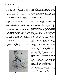County. Declarent went to the paymaster and received his pay for nine months service or for the term for which the regiment was raised. The declarent was employed in the secret service for a period of full nine months.

This declarent further says that in the year 1779 in the month of May he enlisted into a company commanded by Capt. Johah Hallett for six months declarent enlisted as a sergint in said Hallets company. The term of enlistment was performed on the lines in the County of Westchester, moving from place to place to guard the country and detect Tories, that the company continued in this service until after Stony Point was taken by Gen. Wayne and abandoned and also reoccupied and abandoned by the English troops.

When this company was ordered over the river and joined the regiment at Stony Point and continued there in making preparations for building a block house until the time of the expiration of the service when the company was ordered to march to Pokeepsie to be discharged by the Governor. When they arrived, the Governor was absent the company was billetted out and the declarent was billetted upon the family of Doct. Tappen.

After remaining a day or two and the Governor not arriving, they were discharged. During this service in Westchester County the following occurrence took place a British vessel of war lay at anchor near Tellers



**Enoch Crosby** 

Point and a party of sailors or marines cam eon shore and wandered a short distance from the water when a party of our men got between them and the river and made them prisoners. They were marched to the place when the company then lay, a little east of Tellers point, the number of prisoners declarent thinks was twelve and the captors six. The prisoners were afterwards sent to Pokeepsie.

This declarent further says that in the month of May in the year 1780 he again enlisted for six months in a company commanded by Capt. Livingston in Col. Benschautens Regiment. He enlisted as a sergent in the Town of Fredericksburgh now the town of Kent in Putnam County. The Regiment assembled at Fishkill and marched to Westpoint and remained there a few days some ten or fifteen, a call was made for troops to fill up the Brigade or Brigades under the command of Gen. De La Fayettes, and they were to be raised by drafts or volunteers, a call first was made for volunteers and the declarent with others volunteered and made a company which was put under the care and charge of Capt. Daniel Delavan.

The declarent continued to be a sergent in Delavans company. Col. Phillip Van Cortland commanded the regiment to which Captain Delavans company was attached, soon after the company was formed they crossed the river from West Point and marched to Peekskill where they remained one night. The next day marched to Verplanks point and crossed over to Stony Point and from thence made the best of their way to New Jersey where they remained until late in the fall when the time of enlistment having expired they were discharged, after having fully and faithfully performed the service of six months for which he enlisted

During this campaign in New Jersey. Major Andre was arrested, condemned and executed several of the soldiers of Capt. Delavan's company went to see him executed. This declarent was sergent of the guard that day and could not go to see the execution.

The declarent further says that he has no documentary evidence of his service, and that he knows of no person who can testify to his services other than those whose depositions are hereto annexed.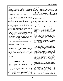The declarent hereby relinquishes every claim whatever to a pension or annuity except the present and declares that his name is not on the pension roll agency of any state.

The declarent has a record of his age.

The declarent was living in the town of Danbury in the state of Connecticut when he enlisted into the service, that since the revolutionary war the declarent has resided in the State of New York, in what is now the County of Putnam formerly the County of Duchess, and now lives in the same county and on the same farm where he has lived for the last fifty years. The declarent always volunteered in every enlistment and to perform all the services which he performed as detailed in this declaration.

That the declarent was acquainted with the following officers who were with the troops where he served. General Schuyler, Gen. Montgomery, General Wooster, Col. Waterbury, Col. Holmes, Gen. DeLa Fayette, Gen. Poor, Col Van Coretlandt, Col. Benschauten, Col. Ludington.

The declarent never received any written discharge, and if he ever received a sergents warrant it is through time and accident lost or destroyed.

This declarent is known to Samuel Washburn a Judge of the Court of Common Pleas of the County of Putman, Benaiah Y. Morse a clergyman in his neighborhood and who he believes can testify to his character for veracity and good behaviour and thus belief of his services as a soldier of the revolution.

/S/ Enoch Crosby

# **Benedict Arnold**<sup>17</sup>

"bold, crafty, unscrupulous, unrepentant: the Iago of traitors"<sup>18</sup>

The US public prefers to dismiss Benedict Arnold as simply "a despicable traitor." To today's US counterintelligence (CI) specialists, however, he offers a valuable case study—the classic example of a "high performer" and "trusted insider" who (for complex and unpredictable reasons) decided to become an espionage "volunteer." What were Arnold's motivations, and what were the enabling and precipitating causes of his decision to go over to the enemy? More importantly, what changes in Arnold's behavior and activities should have raised "CI flags" in the minds of his friends and fellow officers?

### The "Enabling" Causes:

Several personal and historical factors combined to make it possible for Benedict Arnold to eventually make the decision to become a traitor. These factors included:

1). Arnold was a "self-made man" in the truest sense of these words. Born into a poor but respectable New England family (his greatgrandfather had been a colonial Governor of Rhode Island) he received the 18th Century equivalent of a high school education and was apprenticed to a pharmacist. Arnold learned the "military arts" by serving with (and—in a premonition of things to come-deserting from) several New York militia units in the late 1750s. During the next two decades he became a successful merchant, sea trader/ smuggler (he sailed his own ships between Canada and the West Indies), and family man in Connecticut and Massachusetts.

From the outset, however, Arnold's personality demonstrated certain excesses which made him illsuited for public service or other cooperative enterprises. These included: extreme personal ambition, ruthlessness in business dealings, opportunism, and a willingness to take risks and manipulate situations to his own advantage. By the time he joined the Continental Army in 1775, Arnold had established a reputation as a cranky and litigious "sharp trader" used to making his own rules and getting his own way. These personality characteristics were to remain constant throughout Arnold's life, and were often noted by those who dealt with him during his cooperation with the British authorities in 1779-1782 and throughout his subsequent career as a businessman in Canada and England.

2). Arnold's military career during the Revolutionary War was meteoric. Physically strong and apparently quite fearless in battle, he took part in a series of spectacular, high risk operations against the British (the capture of Fort Ticonderoga, the St. John's raid, the ill-fated invasion of Canada in the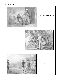

Arnold tells Andre to hide West Point plans in his boots.







Andre on his way to the gallows.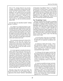Fall of 1775-during which he was severely wounded—and the Battle of Valcour Island) which boosted his reputation and self-confidence. Arnold's energy and valor ingratiated him to George Washington, who urged his promotion and supported him during a series of politically-motivated misconduct investigations. Although he was promoted to Brigadier in January, 1776, and Major General in May, 1777, Arnold resented the fact that some younger, less able men had been promoted ahead of him.

Carl Van Doren has described Arnold's "military persona" as follows:

"As a soldier he was original and audacious, quick in forming plans, quick in putting them into vigorous execution. He led his soldiers, not drove them, and won and held the devotion of the rank and file. He had a gift for command when the objective was clear and his imperious will could be fully bent upon it...But in the conflict of instructions and of other officers of rank equal or nearly equal to his, Arnold was restive and arrogant. He could not turn philosopher and patiently endure small irritations day by day."

"He was passionate and personal in almost all his judgments...At the same time, Arnold was a whirlwind hero who could not be bothered with keeping track of small expenses. Spend what had to be spent, and figure the amount up later." (It was these attitudes that got him into trouble with the Continental Congress.)

3). It is also important to remember the historical context within which Arnold acted. After four years of inconclusive combat operations, in the Spring of 1779 the final outcome of the "American War of Independence" remained uncertain. In purely military terms, the war had evolved into a stand-off, with the British unable to trap and destroy the Colonial armed forces, and the Continental Army incapable of driving the British from major ports and garrison cities. In addition, the Treaty of Alliance signed with France the previous year had yet to produce any successful joint military French-American operations (Admiral d'Estaing's fleet operations had failed repeatedly, and General Rochambeau's expeditionary force would not arrive until July, 1780).

Politically, things did not look much better. The British Government was still hanging tough on suppression of the colonial "rebellion," and hundreds of thousands of pro-British "Tories" or "loyalists" remained active in North America. Less than a third of the population of the thirteen colonies had actively supported the American revolutionary cause in the first place, and this base of support had eroded as the war progressed. By 1779, quite a few "Patriots of 1776" had begun to consider changing sides. Arnold was not alone in his growing cynicism and pessimism.

### The "Precipitating" Causes

Seriously wounded in the same leg for a second time at the Battle of Saratoga, the partially disabled Arnold was placed in command of the Colonial forces in Philadelphia following the British evacuation of that city in June, 1778. Meanwhile, Congress had approved an adjustment in his date of rank, so that he now technically outranked his younger competitors. So, what was Arnold's motivation for committing treason a year later? What factors made it certain that he would finally choose to betray his country's cause? The following reasons come to mind:

1). He still nursed a long series of accumulated grievances against the Continental Congress, which he believed to be hopelessly incompetent and corrupt.

2). Arnold was a restless man of action—"driven and tremendously energetic," according to one biographer. Now less mobile because of a shortened leg, he saw his chances for a future field command slowly slipping away, and life as a garrison commander did not agree with him.

3). At the age of 38, the rough-cut war hero had just married beautiful and sophisticated 19-year-old Peggy Shippen (his first wife had died in 1775), the daughter of an old and wealthy Philadelphia family. Pro-British and socially ambitious, Peggy was a willing coconspirator in Arnold's espionage activities. He desperately wanted to live up to her expectations.

4). Arnold was essentially an arrogant, narcissistic opportunist who felt that his contributions to the Revolutionary cause had not been fully appreciated. His duty assignment in Philadelphia had given him a year to reflect upon his future prospects. By coincidence, in May, 1779 he found himself faced with an opportunity which was simply too good to pass up—the chance to make a fortune and (perhaps) end up on the winning side of what increasingly appeared to be a "war of attrition."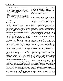The "fortune" Arnold stood to make was not inconsequential. He first demanded 10,000 pounds for his services, but General Clinton demurred. The British became more cooperative after Arnold was put in charge of West Point, however, offering to pay 20,000 pounds, nearly \$750,000 in today's money-if Arnold delivered West Point to them with its garrison and artillery intact. 20,000 pounds was a huge sum in the late 18th century, clearly sufficient to maintain Arnold and his family at a high standard of living anywhere in the world.

### **Implications for US Counterintelligence Today**

What "CI indicators" or changes in Arnold's personality or behavior should his colleagues have noticed? Did any "CI anomalies" occur which should have been noted during the time that Arnold worked for the British? What steps could have been taken to anticipate, pre-empt, or prevent Arnold's treason?

Arnold's defection came as a complete surprise, both to his subordinates and George Washington's intelligence staff. This is remarkable, considering that Arnold remained "an agent in place" for sixteen months (from May, 1779 to September, 1780) after offering his services to the British. Under such circumstances, effective CI awareness and countermeasures should have detected Arnold's protracted negotiations and data sharing with the British Commander-in-Chief, General Henry Clinton. These exchanges made use of both verbal and written messages (some of which were in code). The communications were transmitted via loyalist intermediaries, Peggy Arnold, and Major John Andre, Clinton's aide-de-camp and intelligence coordinator. Much of this correspondence involved protracted bargaining over the terms of his "espionage" contract"-a process which revealed Arnold's haggling skills and exaggerated self-esteem.

Arnold also was a valuable "reporting asset" during this period, warning Clinton of the impending arrival of French troops under Rochambeau and passing vital update information about the defenses of West Point and other Colonial strong points along the Hudson River. In addition, Arnold transmitted "bits and pieces of information" (via letters to Peggy Arnold which she passed to Andre) concerning the planning of what was to become the May-October, 1781 Yorktown campaign. Arnold had been asked to command part of the allied forces being prepared for that operation, and he remained "in the loop" until September, 1780—just eight months before US and French forces moved on Yorktown.

Most of the personal characteristics which made Arnold a dangerous spy also made him an effective military leader and a credible "Patriot." Arnold was certainly not the only arrogant and cantankerous field commander in the Continental Army, and probably no one but his new wife knew exactly what was going on in his mind when he decided to turn his coat. However, the fact that he had been embroiled in such a long series of courts-martial and Congressional investigations, should have raised some official eyebrows when Arnold began to lobby aggressively for command of the strategic Colonial garrison at West Point in May, 1780. Another "ignored" CI indicator was the fact that he also refused the offer of an attractive field command (the ring wing of Washington's army), claiming that he was disabled.

Arnold was an extremely resourceful and clever spy. After taking command of West Point, he used "profiteering" as a cover for his expanding contacts with local Tories whose homes provided opportunities for meetings with Major Andre. Even Arnold's closest aides—probably influenced by the General's past reputation as a smuggler—were taken in by this ploy. Arnold and the British used classic espionage tradecraft to cloak their conspiracy. These measures included the use of coded communications, clandestine signals, passwords, pseudonyms, safehouses, clandestine meetings, intermediaries, and-in an effort to distract Arnold's pursuers immediately following his defection—a diversion (a feigned "nervous breakdown") staged by his wife.

Arnold's activities apparently produced no "CI anomalies" that suggested the existence of a spy in the highest ranks of the Continental Army. This fact may be partly explained by the slow pace of communications in the late 1700's, as well as Clinton's understandable reluctance to jeopardize the security of his best-placed agent by acting precipitously on information that could only have been provided by someone at Arnold's level. In addition, the British military intelligence apparatus in North America was aggressive and resourceful,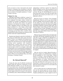and was known to have intercepted and copied sensitive Continental Army documents in the past. For this reason, the British probably felt they did not have to mount a CI deception operation to "screen" Arnold's activities.

## **Epilogue for a Spy**

Although he had failed to fulfill his "contract" by delivering the plans of West Point's defenses (these were captured with Major Andre), Arnold was awarded 6,315 pounds in compensation for his lost property. He and his entire family were granted pensions by the British Government. Arnold was made a Brigadier General in the British Army and given command of a "Tory legion" which he had offered to help raise. In January, 1781 he led a 1600man force in a raid against Hampton Roads, Virginia. Continuing up the James River, Arnold's troops attacked Rebel artillery positions near Jamestown and briefly looted and occupied Richmond.

Despised and ultimately rejected by the British, in the long run Arnold paid a heavy price for his illgotten "fortune." Ever optimistic and entrepreneurial, for a decade (1782 to 1792) he moved his second family back and forth between Canada and England, seeking social acceptance and commercial opportunities. Arnold's many post-war business ventures achieved limited success, however, and when he died in 1801 he was deeply in debt. Both Arnold and his wife were permanently estranged from their relatives in the newly-independent United States. The three sons from Arnold's first marriage remained in America. Four of his sons by Peggy Shippen (she died in 1804) served in the British Army, one of them becoming a Lieutenant General.

# Dr. Edward Bancroft<sup>19</sup>

Among the many spies the British recruited and placed inside the American Commission in Paris under Benjamin Franklin, was one who had access to every secret move, conversation and agreement negotiated between the American delegation and the intermediaries representing the French government. French support and aid was critical to the American revolutionary cause, without it the dream of American

independence would have expired. Yet, despite the British intelligence success, the government of Lord North was ineffective in stopping American-French activities. The spy, Dr. Edward Bancroft, was never discovered until seventy years after his death when the British government provided access to its diplomatic archives.

Bancroft was born on 9 January 1744 in Westfield, Massachusetts. When he was two years old his father died of an epileptic seizure leaving his mother to care for the family. Five years later, his mother, Mary, remarried and the family moved with her new husband, David Bull, to Hartford, Connecticut. Bull owned "The Bunch of Grapes" tavern which, on 23 May 1781, hosted a meeting between George Washington and General Jean-Baptiste de Vimeur, Comte de Rochambeau, to plan their siege against British General Lord Charles Cornwallis at Yorktown.

While growing up in Hartford, Bancroft studied under Silas Deane, after the latter's graduation from Yale. Two years later, at age 16, Bancroft was apprenticed to a physician in Killingsworth, Connecticut. Then, on 14 July 1763, Bancroft left the colonies for Surinam where he found employment as a medical chief on one of the plantations. Bancroft expanded his medical practice to several additional plantations and also found time to write a study of Surinam's environment. Bancroft soon grew weary of Surinam and in 1766 began one year of travel between North and South America before sailing for England.

After his arrival in London, Bancroft became a physician's student at St. Bartholomew's Hospital. He also published, in 1769, a book titled, "Natural History of Guiana," which brought him to the attention of Paul Wentworth, the colonial agent for New Hampshire in London. Wentworth hired Bancroft to survey his plantation in Surinam with the hope that Bancroft could uncover ways for Wentworth to increase his profits from the land. Bancroft returned to Surinam for several months and then returned to London.

Also in London at the time was Benjamin Franklin, who was the colonial agent for several colonies. Franklin met Bancroft and they became friends. Franklin used Bancroft as a spy to support several of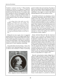Franklin's colonial activities.<sup>20</sup> When Franklin returned to America, it is unknown if Bancroft continued his spying for Franklin but evidence exists that this may have been the case. For example, when the Committee for Secret Correspondence sent Silas Deane to Paris to examine the political climate of France, Franklin provided Deane instructions to contact Bancroft. Deane was told that to arrange the meeting:

"...by writing a letter to him, under cover to Mr. Griffiths, at Turnham Green, near London, and desiring him to come over to you in France or Holland, on the score of old acquaintance. From him you may obtain a good deal of information of what is now going forward in England, and settle a mode of continuing correspondence. It may be well to remit a small bill to defray his expenses in coming to see you, and avoid all political matters in your letter to  $him.$ "21

If Bancroft was not an agent, why is it suggested that the letter be sent to a cover address rather than to Bancroft directly. Deane had been Bancroft's teacher, so it would be natural for a teacher to try to contact a former successful student. Also, Deane's instructions to devise a contact plan to meet with Bancroft adds further proof of some clandestine relationship.

A day after Deane arrived in France, 7 June 1776, he mailed a letter requesting Bancroft come to Paris to discuss some assistance to Deane in procuring



Pierre Augustin Caron de Beaumarchais

goods for Indian trade and enclosing 30 pounds to defray travel expenses. Bancroft agreed and on 8 July both men met in Paris. Deane and Bancroft quickly established a close rapport, so much so that Deane informed Bancroft of his true mission in Paris.

He told Bancroft that he was attempting to devise a clandestine relationship with the French to obtain military aid for the colonies. Bancroft declined an invitation to attend the negotiations between Deane and the French but agreed to serve as Deane's assistant and interpreter during meetings with French agents, Pierre Augustin Caron de Beaumarchais and Monsieur Donatien le Rey de Chaumont. It was at these meetings the details of transferring to the Americans some forty thousand strands of arms, including two hundred cannon with French markings removed, as well as four million lives credit for miscellaneous military supplies.<sup>22</sup>

Deane informed Bancroft that the American objective was to motivate a Bourbon-Prussian coalition against England on the continent to force the British to redirect their power to a continental conflict and leave the colonies alone. The Americans expected the French to agree to the alliance. In fact, French Foreign Minister, Charles Gravier, the Comte de Vergennes was leaning towards war with England when he learned that General Sir William Howe evacuated Boston but wanted to enlist Spain's assistance and agreement to go to war with Portugal, England's ally. The situation changed when the French learned that Britain defeated Washington's forces on Long Island on 27 August 1776.<sup>23</sup>

Bancroft, saying business matters obliged him to return to London, left France on 26 July 1776. Before departing, he agreed to provide Deane with intelligence gleaned from his contacts in England. Despite his agreement to cooperate, Bancroft was troubled by his new role. He had always supported the British Empire's interest but also adhered to the belief that the colonies and the crown had to reconcile their positions through some compromise. He now realized that this was impossible and that French entry into the conflict would destroy the British empire. Bancroft considered informing the British government about Deane's efforts because he was convinced "that the government of France would endeavor to promote an absolute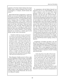separation of the then United Colonies from Great Britain; unless a speedy termination of the revolt by reconciliation, or conquest, should frustrate this project."24

Before Bancroft had an opportunity to contact the British, he was met by Paul Wentworth. Wentworth was recently recruited by William Eden, chief of the British Secret Service,<sup>25</sup> who assigned Wentworth the task of meeting with his old friend to obtain full details of Bancroft's visit to Paris. Wentworth informed Bancroft that the British knew he met and spent several days with Deane. Wentworth asked Bancroft to meet with Eden. Bancroft agreed and shortly thereafter a meeting was held between Bancroft, Eden, and Lords Suffolk and Weymouth to discuss the colonial rebellion. At this meeting, Bancroft was recruited as a double agent for the British. He later wrote of his decision:

"I had then resided near ten years, and expected to reside the rest of my life in England; and all my views, interests and inclinations were adverse to the independency of the colonies, though I had advocated some of their claims, from a persuasion of their being founded in justice. I therefore wished, that the government of this country, might be informed, of the danger of French interference, though I could not resolve to become the informant. But Mr. Paul Wentworth, having gained some general knowledge of my journey to France, and of my intercourse with Mr. Deane, and having induced me to believe that the British Ministry were likewise informed on this subject, I at length consented to meet the then Secretaries of State, Lords Weymouth and Suffolk, and give them all the information in my power, which I did with the most disinterested views."26

When Benjamin Franklin arrived in Paris to take over the negotiations with the French, Lord Suffolk told Bancroft to move to Paris and inject himself in Franklin's circle. In return for his service, Bancroft was offered a life pension of 200 pounds per year, increasing to 500 pounds per year. Bancroft left England on 26 March 1977. After his arrival in Paris, it was not difficult for him to find a position with Franklin, his former friend and mentor. Bancroft was made secretary to the American commission. Also arriving in Paris was Paul Wentworth, who was sent to be Bancroft's handler.

To communicate with the British, Bancroft was instructed in the use of a timed deaddrop. He was told to compose a series of cover letters about gallantry which he was to address to a "Mr. Richards," and sign each with "Edward Edward." Between the lines of his letters, he was to write in secret ink the information he acquired on the French-American partnership. When the letter was complete, he was to place it in a bottle with a piece of string around the bottle's neck. Each Tuesday evening after 9:30, Bancroft was instructed to proceed to the south terrace of the Jardin de Tuilleries where he was to place the bottle in a hole in the roots of a certain box tree. The bottle was retrieved by Thomas Jeans, secretary to British diplomat Lord Stormont, who removed the contents and usually replaced it with taskings for Bancroft. Bancroft later that same evening returned to the drop site to recover the bottle. It is reported that Bancroft provided copies of hundreds of documents to his handlers. For example, it is said that the French-American treaty was in King George's hand 48 hours after its signing, courtesy of Bancroft.

Compliments of Franklin and Deane, who sent Bancroft on frequent secret intelligence missions to London, Bancroft had the luxury of sitting down in a relaxed atmosphere to be debriefed by Lord Suffolk and others. There is some suggestion by historians that Franklin was aware of Bancroft's betrayal, citing Franklin's comment in response to a friend's warning about British spies:

"I have long observ'd one Rule which prevents any Inconvenience from such Practices. It is simply this, to be concern'd in no Affairs that I should blush to have made publick, and to do nothing but what Spies may see & welcome. When a Man's actions are just and honourable, the more they are known, the more his Reputation is increas'd and establish'd. If I was sure, therefore that my Valet de Place was a Spy, as probably he is, I think I should not discharge him for that, if in other Respects I lik'd him." $27$ 

Whether Franklin knew and used Bancroft to pass false information to the British or never knew Brancroft's true status is subject to interpretations of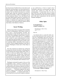the facts because Franklin did not write about it and Bancroft's personal papers were later destroyed by a family member. No matter what the truth is, the fact remains that the British had placed an excellent double agent within the American Commission in Paris who provided a wealth of information on the French-American alliance. Even with Bancroft and the other British agents inside the Commission, the British were unable to take more effective action to destroy or diminish the negotiations and support which lead to the American-French Alliance and the final defeat of the British at Yorktown

### **Secret Writing**

While serving in Paris as an agent of the Committee of Secret Correspondence, Silas Deane is known to have used a heat-developing invisible ink, compounded of cobalt chloride, glycerin and water, for some of his intelligence reports back to America. Even more useful to him later was a "sympathetic stain" created for secret communications by James Jay, a physician and the brother of John Jay. Dr. Jay, who had been knighted by George III, used the "stain" for reporting military information from London to America. Later he supplied quantities of the stain to George Washington at home and to Silas Deane in Paris.

The stain required one chemical for writing the message and a second to develop it, affording greater security than the ink used by Deane earlier. Once, in a letter of John Jay, Robert Morris spoke of an innocuous letter from "Timothy Jones" (Deane) and the "concealed beauties therein," noting "the cursory examinations of a sea captain would never discover them, but transferred from his hand to the penetrating eye of a Jay, the diamonds stand confessed at once."

Washington instructed his agents in the use of the "sympathetic stain," noting in connection with "Culper Junior" that the ink "will not only render his communications less exposed to detection, but relieve the fears of such persons as may be entrusted in its conveyance . . ." Washington suggested that reports could be written in the invisible ink "on the blank leaves of a pamphlet . . .a common pocket book, or on the blank leaves at each end of registers, almanacs, or any publication or book of small value." Washington especially recommended that agents conceal their reports by using the ink in correspondence: "A much better way is to write a letter in the Tory stile with some mixture of family matters and between the lines and on the remaining part of the sheet communicate with the stain the intended intelligence."

# **Other Spies**

#### To Joseph Reed or **Colonel Cornelius Cox**

Head Ouarters, Morris Town, April 7, 1777.

#### Dear Sir<sup>.</sup>

I am informed, there is a certain Mr. Smith, who has been lately taken up by Genl. Lincoln as a Spy and sent to Philadelphia under that Character; I believe, for several reasons that he is the man who was employed by you to act for us, in that capacity, and that the apprehending him is a mistake, which may be attended with ill consequences. Lest he should be precipitately tried and punished, I must beg you will interpose in the affair without delay, and if you find him to be the person I suspect he is, take measures to have him released. I should be glad indeed, that some management might be used in the matter, in order to turn the Circumstance of his being apprehended to a good account. It would be well to make him a handsome present in money to secure his fidelity to us; and contrive his releasement, in such a manner, as to give it the appearance of an accidental escape from confinement. After concerting a plan with him, by which he will be enabled to be serviceable to us, in communicating intelligence from time to time, let him make the best of his way to the Enemy. Great care must be taken, so to conduct the scheme, as to make the escape appear natural and real; there must be neither too much facility, nor too much refinement, for doing too little, or over acting the part, would alike beget a suspicion of the true state of the case. I am etc.

**To Governor William Livingston** 

Head Quarters, Valley Forge,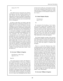January 20, 1778

Sir:

I last night received a Letter from Colo. Dayton, informing me, that John and Baker Hendricks, and John Meeker had been apprehended upon a supposition of carrying on an illegal Correspondence with the Enemy, as they had been several times upon Staten Island and that they were to be tried for their lives in consequence.

In justice to these Men I am bound to take this earliest opportunity of informing you that they were employed by Colo. Dayton last Summer to procure intelligence of the movements of the Enemy while upon Staten Island, for which purpose I granted them passports, allowing them to carry small quantities of Provision, and to bring back a few Goods the better to cover their real designs. Colo Dayton acquaints me that they executed their trust faithfully; this I very well remember, that what intelligence he communicated to me and which he says, came principally thro' them, was generally confirmed by the Event. Upon these Considerations I hope you will put a stop to the prosecution, unless other matters appear against them. You must be well convinced, that is indispensibly necessary to make use of these men to procure intelligence. The persons employed must bear the suspicion of being thought inimical, and it is not in their powers to asset their innocence, because that would get abroad and destroy the confidence which the Enemy puts in them. I have the honour, etc.

#### **To Governor William Livingston**

Head Quarters, Valley Forge, March 25, 1778.

Dear Sir:

I have strong reasons to suspect a Mr. Banskon,<sup>28</sup> late a Captain of Marines in our service, of being in the employ of the enemy as a Spy. His family lives at Princeton. We have nothing against him that amounts to proof, and to seize him at present would answer no end; but to put it out of our power to detect and punish him. It were to be wished, your Excellency, without discovering our suspicions could fall upon some method to have him well watched, and, if possible, find out something to ascertain the fact. He is lately from Philadelphia and has offered me his services in that way, as he proposes to return in a few days, taking this Camp in his way. If in the mean time any circumstances should arise within your knowledge you will be pleased to transmit it to me. I am etc.

#### **To Colonel Stephen Moylan**

Head Quarters, April 3, 1778.

Sir:

By command of his Excellency, I am to desire, you will send a corporal and six Dragoons, with a Trumpeter to Head Quarters, without loss of time. They are wanted to escort the Commissioners on our part who are to meet on the subject of a General Cartel. You need not be told they must be picked Men and horses, must make the best possible appearance, must be very trusty and very intelligent. They should also be of the same regiment.

The General reminds you again of the necessity of keeping your Officers close to their quarters and duty; and of letting no attention be wanting to put the cavalry under your command, on the best footing you can, both with respect to condition and discipline.

There is a certain Mr. Bankson late of the Continental marines, who has a family at Princeton. We suspect him to be a spy to Mr. Howe, though he offers himself as one to us. We wish to find out his true history. He left this camp the 24th of March, on pretense of making a visit to his family, and is now returned with renewed offers of service. It is doubted whether he has not, in the mean time, been at Philadelphia. The General wrote some days since to Governor Livingston, requesting he would take measures to explore Mr. Bankson's conduct and views. He directs you immediately to see the Governor and learn from him, if he has been able to make any discovery, and to take cautious methods to ascertain whether Bankson has been at home, since he left camp, how long, and when he left home, in short any thing that may throw light upon his designs. Let him hear from you as soon as possible about the he subject. Manage the business with caution and address. Yours Affectionately.

#### **To Governor William Livingston**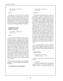Head Quarters, Valley Forge, June 1, 1778.

#### Dear Sir:

I am honoured with yours of the 23rd and 29th Ultimo. The person who delivered me your letter of the 17th was one of our hired Expresses. He now out upon duty, but when he returns I will inquire how he came by the letter. The Christian name of Bankson, who I begged the favor of you to keep an eye upon, is Jacob<sup>28</sup>, but as I am now satisfied concerning him, you need not trouble yourself further in the matter....

#### **To Brigadier General William Swallowed**

Head Quarters, Valley Forge, June 1. 1778.

Dear Sir:

I received yours of the 30th May: A person, who I sent down to Chester to observe the movements of the Fleet, left that place on Sunday at dusk, he informs me that upwards of one hundred Sail had come down from Philadelphia and that they had not stopped near Wilmington, but proceeded towards the Capes. If this is so, it is a plain proof that they have no design to land any body of Men to molest our Stores. Captn. McLane who commands a scouting Party upon the Enemy's lines has been this Morning as near Philadelphia as Kensington, from whence he has a full view of the Harbour, he says very few ships remained and those chief armed Vessels. If therefore, upon sending an Office to Chester and another to Wilmington, you find that the Vessels have gone down and are below New Castle, you are immediately to join me, with your whole continental force. I am &ca.

P.S. Bring up your Tents with you and your lightest Baggage, as you will probably march immediately Northward.

#### **To The Board Of General Officers**

Head Quarters, Valley Forge, June 2, 1778.

#### Gentlemen:

The Adjutant General has directions to send you one Shanks<sup>29</sup> formerly an Officer in the 10th Pennsylvania Regiment, charged with being a spy for the Enemy. There is a British deserter a serjeant of Grenadiers, who will attend as a Witness against him. His own confession is pretty ample. But to make the evidence as full as possible, I have directed Col. Morgan to send up the persons, who took the criminal, in order to ascertain the circumstances of his apprehension. To avoid the formality of a regular trial, which I think in such a case ought to be dispensed with, I am to request you will examine him and report the result; and if his guilt is clear, his punishment will be very summary.<sup>30</sup> If the Witnesses expected from Colonel Morgan, should not arrive speedily, so that it would detain the Board too much to wait for them; they may proceed to the examination, without them, but if it shod appear that their presence may materially affect the merits of the inquiry, I would wish it not to be brought to a conclusion. If it should be thought unessential, I should be glad the examination may be definitive. I am, etc.

P.S. I wish your report to be as full as possible, clear as to the criminality of the person, expressive of your opinion whether he is a proper subject for an example, and what kind of punishment may be most proper.

#### **General Orders**

Head Quarters, W. Plains, Monday, September 14, 1778.

Parole St. Augustine. Countersigns Salem, Sandown.

#### After Orders

At a General Court Martial held in the Highlands January the 13th, 1778, by order of Major Genl. Putnam whereof Colo. Henry Sherburne, was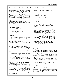President, Matthias Colbhart of Rye, in the State of New-York, was tried for holding a Correspondence with the Enemy of the United States, living as a Spy among the Continental Troops and enlisting and persuading them to desert to the British Army, found guilty of the whole Charge alledg'd against him and in particular of a breach of the 19th Article of the 13th Section of the Articles of War and therefore sentenced to be punished with Death, by hanging him by the Neck until he is dead.<sup>30</sup> Which Sentence was approved of by Major General Putnam. His Excellency the Commander in Chief orders him to be executed tomorrow morning nine o'Clock on Gallows Hill.

#### **To Major General Alexander McDougall**

Head Quarters, Middle Brook, March 25, 1779.

Dear Sir

I duly received your favour of the 20th instant. Mr.  $H$ .  $\frac{31}{1}$  has just delivered me that of the 22nd. (The Letter and inclosures referred to in it are not yet come to hand.) I have had a good deal of conversation with Mr. H--- He appears to be a sensible man capable of rendering important service, if he is sincerely disposed to do it. From what you say, I am led to hope he is; but nevertheless, if he is really in the confidence of the enemy, as he himself believes to be the case, it will be prudent to trust him with caution and to watch his conduct with a jealous eye.

I always think it necessary to be very circumspect with double spies. Their situation in a manner obliges them to trim a good deal in order to keep well with both sides; and the less they have it in their power to do us mischief, the better; especially if we consider that the enemy can purchase their fidelity at a higher price than we can. It is best to keep them in a way of knowing as little of our true circumstances as possible; and in order that they may really deceive the enemy in their reports, to endeavor in the first place to deceive them. I would recommend, that the same rule should be observed in making use of Mr. H—, who notwithstanding the most plausible appearances may possibly be more in earnest with the enemy than with us. By doing this we run the less risk and may derive essential benefit. He is gone on to Philadelphia.

Which so far as it affected the troops under your command you will be pleased to assist me in executing as speedily as possible. I am, etc.

#### **To Major General Alexander McDougall**

Head Quarters, Middle Brook, March 28, 1779.

Dear Sir:

I yesterday Evening was favd. with yours of the 21st instant with the several inclosures to which it refers.

<sup>32</sup> is gone to Philada. and will call upon me in his way back. In my last I took the liberty to drop you a hint upon the subject of the danger of our putting too much confidence in persons undertaking the office of double Spies. The person alluded to in the present instance appears very sensible, and we should, on that account, be more than commonly guarded until he has given full proofs of his attachment. The letter directed to Genl. Haldimand<sup>33</sup> was evidently intended to fall into our Hands. The manner of contriving that, and some other circumstances, makes me suspicious that he is as much in the interest of the enemy as in ours. I am etc.

#### Joseph Hyson<sup>34</sup>

Joseph Hyson was a Marylander, living in London where he was an unemployed seaman. While carousing among the bars, he met William Carmichael, a fellow Marylander and personal secretary to Silas Deane in Paris, who was visiting England and also liked to frequent the shadier sites of London. The two men became very close friends. When Carmichael was sent to England to recruit seamen to command privateers and munitions ships clandestinely fitted in France, he approached Hyson, who readily agreed because he was broke and wanted, he said, to see America again.

After Hyson was recruited by Carmichael, he was approached by Reverend John Vardill, a British agent of William Eden, an under-secretary of state, who directed British intelligence during the early years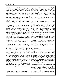of the American Revolution. The meeting took place on 12 February 1777 and Hyson agreed to work for British intelligence. A plan, briefed to the British Admiralty which gave its approval, was devised whereby Hyson would slip out of England for France. After Hyson's arrival in France, he was to collect coastal and other maritime information on the country while waiting to take possession of one of the ships. Once he commanded a ship, he was to use elaborate signals, worked out with the British navy to make it appear that the ship was captured rather than Hyson having sailed it into British hands.

Hyson safely arrived in France and, while his ship was being fitted, he spent a great deal of time with Carmichael and the American Commissioners, Benjamin Franklin and Silas Deane. Hyson also began to collect data on French ports and shipping which he passed to Lt. Col. Edward Smith, a British intelligence officer. Carmichael detected Hyson's spy activities for Smith but did not reveal them to any of the American Commissioners. In fact, Carmichael offered to help Hyson obtain American dispatches, an offer Smith believed could help the British recruit Carmichael.<sup>35</sup> The British did try to recruit Carmichael but he rejected there overtures.

Benjamin Franklin and Silas Deane decided to send the Commissioners' important dispatches to the Continental Congress earlier than expected and selected a Captain Folger to take them aboard his ship. To get the dispatches to Captain Folger, Captain Hyson was selected as the courier. Hyson traveled to Havre, France where he turned over the dispatch pouch to Folger. Folger, after his arrival in America, gave the pouch to the Committee of Correspondence of the Continental Congress. When the Committee opened the pouch, they discovered a wad of blank paper. While the substituted pouch was on its way to America, Hyson delivered the real pouch to Lt. Col. Smith in London, who immediately turned it over to William Eden. Eden, in turn, displayed the entire pouch contents to King George III, who was often a harsh critic of the spies, alluding to his mistrust of them.

Hyson was paid for his services. Lord North gave him 200 pounds and a promise of 200 pounds a year. "He was an honest rascal, and no fool though

apparently stupid."36 An apt remark considering that Hyson returned to France to renew his contact with the American Commissioners. He could not understand why the Commissioners rejected any contact with him. The only one who came to visit him was Carmichael. He failed to realized that Carmichael was directed to make contact with him in order to get Lt. Col. Smith to come to Paris to meet with the Commissioners.

The Commissioners wanted to use Smith as a broker to determine if the British government was agreeable to negotiating a peace. When word was received on 30 November 1777 that General John Burgoyne surrendered, this plan was shelved. Hyson's value to the Commissioners was ended although he was offered the job of taking some dispatches to America. He refused. The French told him to leave their country or be arrested as a spy.

Hyson requested funds from Smith, who sent the request to Eden. Eden responded that he would support giving Hyson 40 pounds if Hyson would set sail and try to overtake either Silas Deane or Carmichael who had departed France in separate ships carrying dispatches. Hyson left for England, where he signed on a man-ofwar, the Centaur, in which he was a key player in betraying an American munitions ship to the British. This is the last anyone heard of Hyson.

#### Lydia Darragh

Though it has been disputed as to accuracy and, indeed, truth, the story of Lydia Darragh deserves mention. Darragh, listening through a paper-thin wall of her home where British officers met, learned of British plans for the 4 December march on Philadelphia. Smuggling her notes in a "dirty, old needlebook" she was able to report the British would march out on 4 December and surprise General Washington at Whitemarsh with their superior forces against Washington's unprepared Continentals.

She reported that there would be 5,000 men under General William Howe, 13 pieces of cannon, baggage wagons and 11 boats on wheels, or pontoon equipment. The British did pull out of Philadelphia with more than 5,000 men on the night of 4 December, rolled through the city going in the wrong direction toward the Schuylkill River. Washington's intelligence and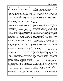estimates were correct. He had strengthened the front, not the rear, and the British surprise failed.

After a day of confrontation, Howe withdrew to Philadelphia "like a parcel of damned fools." It was to his report of the Whitemarsh fiasco that General Charles Cornwallis first appended his view that the conquest of America was impossible. On other occasions, Lydia concealed reports in shorthand only her older brother, Lt. Charles Darragh could read, and covered them as buttons which her 14 year-old son wore on his clothing when traveling on regular visits to her brother. Charles would then decode the shorthand and deliver the report to Washington.

#### **James Armistead**

James Armistead was a slave who, with his master's permission, joined Marquis de Lafayette's service when the young French General arrived in Williamsburg in March 1781. Armistead had repeated success in penetrating the British lines and bringing out intelligence on Cornwallis' forces. Lafayette later commended the agent's "essential services," noting "His intelligences from the enemy camp were industriously collected and more faithfully reported."

As a courier between Lafayette and American agents in the Norfolk area, Armistead won this accolade from Lafayette: "He properly acquitted some important communications I gave him." But, the most valued role of this agent involved deception. Posing as a refugee, he crossed Cornwallis's lines, where he was recruited as a British spy and dispatched back against Lafayette.

Lafayette prepared a false order from himself to General Daniel Morgan, in which Morgan was instructed to move non-existent troop replacements into certain positions. With the properly crumpled and abused letter in hand. Armistead returned to the British, reporting that he had found no changes in the American position, but displaying the torn paper that he claimed to have found along the roadside, but could not read.

Cornwallis accepted the bait and did not learn he had been tricked until Lafayette completed the military operation. Cornwallis, during a courtesy visit to Lafayette after the British defeat at Yorktown, recognized Armistead on Lafayette's staff, and realized for the first time that his trusted agent, had, in actuality, been an American agent.

Following the war, the Virginia Assembly voted James Armistead his freedom and in later years approved both a bonus and a lifetime pension for his intelligence work, conducted "at the peril of his life." James reciprocated the honor, adopting the new surname, Lafayette.

#### **John Honeyman**

John Honeyman was denounced by George Washington as a traitor as part of a plan to get the American spy a warm welcome when he fled to the British lines. The "traitor" label worked so well that once Honeyman, who used the cover of butcher and horse trader, had his house raided by patriots. In order to expedite Honeyman's return, Washington issued order that Honeyman, upon returning to American lines, was to be "captured alive" and taken to Washington directly so that Washington could interrogate the "dangerous rascal" personally.

Honeyman, would of course, subsequently manage to escape back to British lines and provide deception information, as he did in telling the Hessians that Washington was not prepared to attack Trenton on Christmas.

#### **Daniel Bissell**

On 8 June 1783, Sargeant Daniel Bissell of the 2nd Connecticut Regiment was awarded the Honorary Badge of Military Merit, one of three men in the American Revolution to be cited with the award now known as the Military Order of the Purple Heart. Bissell was bestowed the award for his work as a military spy.

In August 1781, Lt. Col. Robert Harrison, Washington's aide-de-camp, dispatched Bissell into New York to gather intelligence. Finding he could not exfiltrate the city, he masqueraded as a Loyalist and joined Benedict Arnold's provincial regiment. For over a year, Bissell gathered intelligence, committing it to memory.

In September 1782, he was able to escape through British lines and report to Washington. Not only was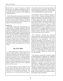Bissell able to report first-hand on British fortifications, and intelligence gathered from others, he was able to present a twelve-month analysis of the British method of operation, which Washington commended him on.

Bissell's ideological motivation became clear when he refused both an honorable discharge and a pension for his work as an intelligence agent for Washington; he felt the nation could ill-afford the loss of his services, and he believed the nation should not be tasked with the pension payments.

#### David Gray

David Gray, a captain in the 1st Massachusetts, was highly effective in obtaining intelligence about the Loyalists and their plotting, which earned him the attention of Washington, who employed him as a spy. Gray made a number of trips to Conneticut and Long Island, New York and finally managed an introduction to Col. Beverly Robinson at British intelligence headquarters. He was recruited by Robinson as a courier to carry letters to Tories in New York, Conneticut, Vermont, and New Hampshire, which he did; after first delivering them to Washington for examination. After about a year with the British, he was sent to Canada with dispatches from Sir Henry Clinton.

# The XYZ Affair

In 1798 a political scheme by three emissaries from French Foreign Minister, Charles Maurice de Talleyrand, outraged the American public, when it surfaced in the United States. The three emissaries, known by the initials, X, Y, and Z, attempted to bribe three American commissioners, who were seeking a treaty of commerce and amity with France. The uproar cause by the attempted bribe led to a complete break in relations with France and an undeclared naval war for two years.

The French, upset by the Jay Treaty of 1794 between the United States and Great Britain, giving Great Britain favored-nation status, felt the Americans were becoming too pro-British. The French were at war with Great Britain and began to seize American ships on the high seas looking for contraband believed headed for British ports. Suffering staggering financial losses, American ship owners demanded reprisals against the French.

In December 1796, the American minister to France, Charles C. Pinckney, tried unsuccessfully to present his credentials to the French Directory. This diplomatic slap in the face resulted in a heated outcry in America against the French. John Adams, the newly elected President, desired better relations with France and to avoid war. On 31 May 1797 he named a three-member commission, Pinckney, John Marshall and Elbridge Gerry, to negotiate with the French government. However, when they arrived in Paris in October 1797 to begin negotiations on a new commercial and friendship treaty, the French Directory refused to meet them. Instead, Talleyrand sent three emissaries to meet with them.

The emissaries advised the American commissioners that a "gift" of \$25,000 to the Foreign Minister and a loan of \$10 million to France was a prerequisite to any negotiations. Two other conditions demanded by the emissaries was an apology by the President for his past critical remarks about France and a reaffirmation by the United States of the old Franco-American Alliance of 1778. Although diplomatic bribes were customary, Pinckney, furious from twiddling his thumbs waiting for an appointment with Talleyrand, said, "Not a sixpence." His diplomatic note to President Adam was more articulate, "Millions for defense but not one cent for tribute."

The American commissioners decided to appeal to Talleyrand directly in a diplomatic note. Talleyrand did not respond for two months and when he did, his reply was terse. He blamed the Americans for the problems, said the President should have sent only Republicans (Pinckney and Marshall were Federalists) to negotiate and stated he would deal only with Gerry. Talleyrand also said that if Gerry left France, war between the two countries was likely. Although the commissioners made no concessions to the French, Pinckney and Marshall returned to the United States, leaving Gerry in France. Gerry's presence in France did not sit well with the Americans and President Adams recalled him.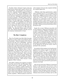President Adams informed Congress about the failed mission and provided Congress with the XYZ correspondence. The Federalists were overjoyed by the news. Alexander Hamilton suggested raising an army of 10,000 men. George Washington said he would come out of retirement to lead the new army, but in title only. Washington wanted Hamilton as his second-in-command. President Adams, fearful of promoting Hamilton over several Revolutionary War officers, who then might lead a coup against him, decided to authorize the building of 40 frigates and lesser warships. An undeclared naval war ensued for two years (1798-1800) in which American naval forces captured 84 armed French ship while only losing one. The Convention of 1800 ended the fighting. The diplomatic dispute ended six months later when Napoleon Bonaparte officially received the American commissioners to France.

# **The Burr Conspiracy**

When Vice President Aaron Burr killed Alexander Hamilton in a duel in 1804, he also killed his chance to be president. Wanted for murder in New York, he fled the state and went to Philadelphia. Realizing that he had no future on the east coast, Burr, in a frantic effort to salvage his destroyed political power and heavily in debt, conceived a plan to seek political fortunes beyond the Alleghenies. He first contacted the British Minister, Anthony Merry, living in Philadelphia. He offered Merry his services in any efforts by Great Britain to take control over the western part of the United States. Merry, who hated the United States, wrote his Foreign Ministry that while Burr was notoriously profligate, nevertheless, his ambition and spirit of revenge would be useful to the British government. Merry became a strong supporter of Burr's schemes.

One of Burr's schemes was to organize a revolution in the West, take the Ohio and Mississippi Valleys and form them into a separate republic. His other scheme was to establish a republic bordering the United States by seizing Spanish possessions. To gain further support for his plans, Burr approached an old friend, General James Wilkinson; both had served as aides to then Colonel Benedict Arnold during the Quebec expedition. Wilkerson played a crucial role in the conspiracy for he not only conspired with Burr but conspired against him.

Wilkinson, after being commissioned a captain in the Continental Army in 1776, rose rapidly in rank and position. Assigned as aide-de-camp to General Horatio Gates, Wilkinson became involved in a plot, called the Conway Cabal, to replace George Washington as commander-in-chief with Gates. Wilkinson, himself, leaked aspects of the plot, probably believing in doing so he could gain some advantage for himself, but his scheme and the original plot failed. Wilkinson lost his job and military honors but kept his rank.

Despite this reversal, Wilkinson proceeded with several conspiracies. Replacing George Rogers Clark as leader in Kentucky, Wilkinson embarked on an attempt to separate Kentucky from Virginia. At the same time, he reasoned that an opportunity existed to make money from national resentment toward Spain. He traveled to New Orleans, where he convinced the Spanish authorities he was secretly working for the partition of the United States. He offered his services to the Spaniards, who identified him as "agent 13" in Spanish messages. Washington and Hamilton both thought that Wilkinson was a spy for the Spanish but felt that his loyalty could be purchased with a promotion.

Not satisfied with his intrigues involving Kentucky statehood and working an agent for the Spanish, Wilkinson accepted in 1792 a commission as brigadier general of a volunteer army fighting Indians north of the Ohio River. He then contrived to replace his commander, General "Mad Anthony" Wayne. Wilkinson succeeded only because Wayne died in 1796. He then seized Detroit from the British and became its military governor. His administration was short-lived as the citizens protested his greed and he returned to the South.

After arriving in the South, Wilkinson wheeled and dealed in land speculation and lucrative Army contracts and contrived to become governor or surveyor-general of the Mississippi Territory. President George Washington became uneasy about Wilkinson's activities and ordered his surveillance. Wilkinson discovered the surveillance and was able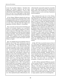to have the surveillant withdrawn. Presidents John Adams and Thomas Jefferson did not share Washington's distrust of Wilkinson. In fact, in 1803 Jefferson fully trusted Wilkinson that he commissioned him to be one of two individuals to take formal possession of the Louisiana Purchase from the French.

In New Orleans, Wilkinson returned to his old ways and acted on Spanish fears concerning Florida, which was Spanish territory until 1819. For his ruse he received a \$12,000 bribe. He purchased a boatload of sugar, took it to New York to sell and while there began secret negotiations with Burr, Jefferson's vice-president.

Burr, aware that war between the United States and Spain over boundary disputes was a possibility because of various Spanish conspiracies to achieve control of the lower Mississippi Valley, made covert plans with Wilkinson to invade and colonize Spanish territory in the West. They also schemed to establish an independent "Empire of the West" on a Napoleonic model. The conspirators even considered invading and annexing Mexico to add to their empire with New Orleans as capital.

Burr was dropped from the presidential ticket by Jefferson and in April 1805 commenced to put his plans into motion. He again approached the British via Minister Merry. He informed Merry that Louisiana was ready to break with the United States and once it did all the western country would follow suit. To be successful, Burr requested that Britain assure his protection, provide him with a half of million dollar loan, and dispatch a British naval squadron to the mouth of the Mississippi River. The British might have entertained Burr's requests but Prime Minister Pitt died and was succeeded by Charles James Fox, a life-long friend of the United States. Fox considered the Merry-Burr discussions indiscreet, dangerous and damnable and recalled Merry to England on June 1, 1806. Having failed to secure British aid in an attempt to separate western states from the United States, Burr then headed west across Pennsylvania. In Pittsburgh, he procured a riverboat and embarked down the Ohio River. He stopped to visit Harman Blennerhassett, a wealthy, gentleman-scholar and Irish emigrant, who lived with his wife Margaret on an island in the middle of the river. Burr explained his plan to Blennerhassett, who

enthusiastically expressed his support by giving Burr money. Burr used the funds to later purchase the Batrop lands on the Ouachita River, in present-day northern Louisiana, to serve as his base of operations into the Southwest.

Burr continued down the river to New Orleans. recruiting frontiersmen, filibusters, adventurers, and others along the way. When he arrived in New Orleans in 1806, he was fervently welcomed because his game plan to colonize or conquer the Spanish possessions touched an appealing cord in many of the people. As rumors of his plan reached Washington, the political establishment suspected that Burr was talking treason. Wilkinson, who was stationed on the Sabine River on the Spanish border with the United States, learned of Washington's reaction and decided to inform on Burr to avoid being charged with treason himself. On November 25, 1806 a courier arrived in Washington carrying a dispatch for President Jefferson. In the dispatch, Wilkinson warned President Jefferson about Burr's threatening plan. Jefferson ordered Burr arrested and he was apprehended in late 1806 near Nachez, Mississippi, while attempting to flee into Spanish territory.

In May 1807, Burr was tried for treason in front of U.S. Chief Justice John Marshall in the circuit court at Richmond, Virginia. Jefferson prepared an account of Burr's criminal activity for Congress and wanted to present it to the court but Marshall requested President Jefferson appearance instead. The President refused, consequently establishing a precedent for future presidents. Marshall, who was not on amicable terms with Jefferson found Burr not guilty, explaining that Burr committed no overt act of treason. Although innocent of the charges against him, Burr was never able to overcome the accusations. He died in New York City in 1836.

In 1805, Jefferson appointed Wilkinson governor of the Louisiana Territory. To distance himself from Burr, Wilkinson made an effort to cozy up to Jefferson. His effort was successful as he averted indictment by the Richmond, Virginia grand jury investigating Burr. These efforts, however, caused him to neglect his duty as governor. The situation became so serious that troops were deployed to calm an angry populace, upset by his mismanagement.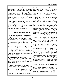After his wife died in 1807, Wilkinson appeared to lose the shrewdness that saved him in the past. He was reappointed by Jefferson to govern Louisiana but his administration was so openly corrupt that President Monroe ordered a court-martial in 1811. The court found him not guilty. Even his military acumen failed him. During the war of 1812, he made a complete mess of the campaign against Montreal that he lost his commission in the Army.

Wilkinson refused to give up and in 1812, at the age of 64, he once more attempted to defraud the Spanish. Using the cover as agent for the American Bible Society, he traveled to Mexico City to seek a Texas land grant. He secured the grant, but died in 1825 before fulfilling all of its provisions.

# The Alien and Sedition Acts 1798

Following publication of the XYZ correspondence, Congress passed the Alien and Sedition Acts. Prompted by a spirit of nationalism by the Federalists, the real targets of the acts were the anti-Federalist editors and pamphleteers of English and French extraction. The Alien Acts were never enforced but did cause a number of French refugees to flee the country or go into hiding. The Sedition Act extended the jurisdiction of the federal courts but there was serious questions as to its constitutionality. The law was never challenged in court. In 1812 the Supreme Court ruled that the federal courts do not have common law jurisdiction in criminal cases. Of the twenty-five persons arrested under the Sedition Act only ten were convicted.

#### The Naturalization Act-June 18, 1798

An Act supplementary to and to amend the act, entitled "An act to establish an uniform rule of naturalization," and to repeal the act heretofore passed on that subject.

Section 1. Be it enacted..., That no alien shall be admitted to become a citizen of the United States, or of any state, unless ... he shall have declared his intention to become a citizen of the United States, five years, at least, before his admission, and shall, at the time of his application to be admitted, declare and prove, to the satisfaction of the court having jurisdiction in the case,

that he has resided within the United States fourteen years, at least, and within the state or territory where, or for which such court is at the time held, five years, at least, besides conforming to the other declarations, renunciations and proofs, by the said act required, any thing therein to the contrary hereof notwithstanding: Provided that any Alien, who was residing within the limits, and under the jurisdiction of the United States, before...(January 29, 1795,...may, within one year after the passing of this act-and any alien who shall have made the declaration of his intention to become a citizen of the United States, in conformity to the provisions of the act (of Jan. 29, 1795), may, within four years after having made the declaration aforesaid, be admitted to become a citizen, in the manner prescribed by the said act, ... And provided also, that no alien, who shall be a native, citizen, denizen or subject of any nation or state with whom the United States shall be at war, at the time of his application, shall be then admitted to become a citizen of the United States....

Section 4. And be it further enacted, That all white persons, aliens,...who, after the passing of this act, shall continue to reside in any port or place within the territory of the United States, shall be reported,...to the clerk of the district court of the district, if living within ten miles of the port or place, in which their residence or arrival shall be, and otherwise, to the collector of such port or place, or some officer or other person there, or nearest thereto, who shall be authorized by the President of the United States, to register aliens: and report, as aforesaid, shall be made in all cases of residence, within fortyeight hours after the first arrival or coming into the territory of the United States, and shall ascertain the sex, place of birth, age, nation, place of allegiance or citizenship, condition or occupation, and place of actual or intended residence within the United States, of the alien or aliens reported, and by whom the report is made....

**Section 5.** And be it further enacted, That every alien who shall continue to reside, or who shall arrive, as aforesaid, of whom a report is required as aforesaid, who shall refuse or neglect to make such a report, and to receive a certificate thereof, shall forfeit and pay the sum of two dollars; and any justice of the peace, or other civil magistrate, who has authority to require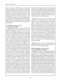surety of the peace, shall and may, on complaint to him made thereof, cause such alien to be brought before him, and there to give surety of the peace and good behavior during his residence within the United States, or for such term as the justice or other magistrate shall deem reasonable, and until a report and registry of such alien shall be made, and a certificate of such surety, such alien shall and may be committed to the common goal, and shall be three held, until the order which the justice or magistrate shall and may reasonable make, in the premises, shall be performed....

#### 2. The Alien Act-June 25, 1798 **An Act concerning Aliens**

Section 1. Be it enacted..., That it shall be lawful for the President of the United States at any time during the continuance of this act, to *order* all such aliens as he shall judge dangerous to the peace and safety of the United States, or shall have reasonable grounds to suspect are concerned in any treasonable or secret machinations against the government thereof, to depart out of the territory of the United States, within such time as shall be expressed in such order, which order shall be served on such alien by delivering him a copy thereof, or leaving the same at his usual abode, and returned to the Office of the Secretary of State by the marshal or other person to whom the same shall be directed. And in the case any alien, so ordered to depart, shall be found at large within the United States after the time limited in such order for his departure, and not having obtained a *license* from the President to reside therein, or having obtained such a *license* shall not have conformed thereto, every such alien shall, on conviction thereof, be imprisoned for a term not exceeding three years, and shall never after be admitted to become a citizen of the United States. Provided always, and be it *further enacted*, that if any alien so ordered to depart shall prove to the satisfaction of the President, by evidence to be taken before such person or persons as the President shall direct, who are for that purpose hereby authorized to administer oaths, that no injury or danger to the United States will arise from suffering such alien to reside therein, the President may grant a license to such alien to remain within the United States for such time as he shall judge proper, and at such place as he may designate. And the President may also require of such alien to enter into a bond to

the United States, in such penal sum as he may direct, with one or more sufficient sureties to the satisfaction of the person authorized by the President to take the same, conditioned for the good behavior of such alien during his residence in the United States, and not violating his license, which license the President may revoke, whenever he shall think proper.

**Section 2.** And be it further enacted, That it shall be lawful for the President of the United States, whenever he may deem it necessary for the public safety, to order to be removed out of the territory thereof, any alien who may or shall be in prison in pursuance of this act; and to cause to be arrested and sent out of the United States such of those aliens as shall have been ordered to depart therefrom and shall not have obtained a license as aforesaid, in all cases where, in the opinion of the President, the public safety requires a speedy removal. And if any alien so removed or sent out of the United States by the President shall voluntarily return thereto, unless by permission of the President of the United States, such alien on conviction thereof, shall be imprisoned so long as, in the opinion of the President, the public safety may require....

Section 6. And be it further enacted, That this act shall continue and be in force for and during the term of two years from the passing thereof.

#### The Alien Enemies Act-July 6, 1798 **An Act respecting Alien Enemies**

Section 1. Be it enacted..., That whenever there shall be a declared war between the United States and any foreign nation or government, or any invasion or predatory incursion shall be perpetrated, attempted, or threatened against the territory of the United States, by any foreign nation or government,... all natives, citizens, denizens, or subjects of the hostile nation or government, being males of the age of fourteen years and upward, who shall be within the United States, and not actually naturalized, shall be liable to be apprehended, restrained, secured and removed, as alien enemies. And the President of the United States shall be, and he is hereby authorized,... to direct the conduct to be observed, on the part of the United States, towards the aliens who shall become liable, as aforesaid; the manner and degree of the restraint to which they shall be subject, and in what cases, and upon what security their residence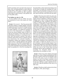shall be permitted, and to provide for the removal of those, who, not being permitted to reside within the United States, shall refuse or neglect to depart therefrom; and to establish any other regulations which shall be found necesary in the premises and for the publlic safety....

#### The Sedition Act-July 14, 1798

An Act in addition to the act, entitled "An act for the punishment of cerain crimes against the United States."

**Section 1.** Be it enacted..., That if any persons shall unlawfully combine or conspire together, with intent to oppose any measure or measures of the government of the United States, which are or shall be directed by proper authority, or to impede the operation of any law of the United States, or to intimidate or prevent any person holding a place of office in or under the government of the United States, from undertaking, performing or executing his trust or duty; and if any person or persons, with intent as aforesaid, shall counsel, advise or attempt to procure any insurrection, riot, unlawful assembly, or combination, whether such conspiracy, threatening, counsel, advice or attempt shall have the proposed effect or not, he or they shall be deemed guilty of a high misdemeanor, and on conviction, before any court of the United States having jurisdiction thereof, shall be punished by a fine not exceeding five



**Revolutionary Soldier** 

thousands dollars, and by imprisonment during a term not less than six months nor exceeding five years; and further, at the discretion of the court may be holden to find sureties for his good behavior in such sum, and for such time, as the said court may direct.

**Section 2.** That if any person shall write, print, utter, or publish, or shall cause or procure to be written, printed, uttered or published, or shall knowingly and willingly assist or aid in writing, printing, uttering or publishing any false, scandalous and mallows writing or writings against the government of the United States, or either house of the Congress of the United States, or the President of the United States, with intent to defame the said government, or either house of the said Congress, or the said President, or to bring them, or either of them, into contempt or disrepute; or to excite against them, or either of any of them, the hatred of the good people of the United States, or to stir up sedition within the United States, or to excite any unlawful combination therein, for opposing or resisting any law of the United States, or any act of the President of the United States, done inpursuance of any such law, or of the powers in him vested by the constitution of the United States, or to resist, oppose, or defeat any such law or act, or to aid, encourage or abet any hostile designs of any foreign nations against the United States, their people or government, then such person therof convicted before any court of the United States having jurisdiction thereof, shall be punished by a fine not exceeding two thousand dollars, and by imprisonment not exceeding two years.

**Section 3.** That if any person shall be prosecuted under this act, for the writing or pusblishing any libel aforesaid, it shall be lawful for the defendant, upon the trial of the cause, to give in evidence in his defense, the truth of the matter contained in the publication charged as libel. And the jury who shall try the cause, shall have a right to determine the law and the fact, under the direction of the court, as in other cases.

**Section 4.** That this act shall continue to be in force until March 3, 1801, and no longer....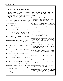# **American Revolution Bibliography**

- Arnold, Benedict. Daybook of Financial Transactions, 1777-1779. Journal of his Expeditions to Canada: March to Quebec. Revolutionary Government Papers. Archives & Man., Pennsylvania Historical & Museum, Harrisburg, PA.
- Augur, Helen. The Secret War of Independence, New York: Duell, Sloan & Pearce; Boston: Little, Brown, 1955. 341 pp.
- Bakeless, John. Turncoats, Traitors, and Heroes, Lippincott, Philadelphia, 1959.
- Barnum, H.L. The Spy Unmasked; or, Memoirs of Enoch Crosby, Alias Harvey Birch. New York: J. & J. Harper, 1828. Reprinted with additional material, Harrison, NY: Harbor Hill Books, 1975.
- Beirne, Francis F. Shout Treason: The Trial of Aaron Burr. New York: Hastings House, 1959.
- Boatner, Mark Mayo, Encyclopedia of the American Revolution. New York, David McKay Company, Inc., 1966.
- Brown, Charles H. Agents of Manifest Destiny. Chapel Hill: University of North Carolina, 1980.
- Bryan, George S. The Spy in America. Philadelphia: J. B. Lippincott, 1943.
- Campbell, Kenneth J. & Edmund R. Thompson. General Gage's Spies. 1990.
- Campbell, Kenneth J. Benedict Arnold, America's First Defector. 1990.
- Central Intelligence Agency. Intelligence In The War Of Independence. Washington, D.C.: CIA, 1976.
- Cooper, James Fenimore, The Spy. 1821. Numerous 20th Century editions. (Novel based on the exploits of double agent Enoch Crosby.)
- Cummings, Richard. Paul Revere & the Mechanics, Copy. 1989.
- Currey, Cecil B. Code Number 72: Ben Franklin: Patriot or Spy. Englewood Cliffs, N.J.: Prentice-Hall, 1972.
- Dann, John C. The Revolution Remembered: Eyewitness Accounts of the War on Independence. University of Chicago Press, 1980.
- Einstein, Lewis D. Divided Loyalties, Americans in the British Service, Spies, Secret Agents and Adventurers. Boston, MA: Houghton Mifflin, 1933 Reprint 1969.
- Engle, Paul. Women in the American Revolution. New York, 1976.
- Flexner, James Thomas, George Washington. Boston, MA Little, Brown and Co., 1968.
- Flexner, James Thomas, The Traitor and the Spy, Benedict Arnold and John Andre. New York: Harcourt Brace, 1953. Little, Brown and Co., Reprint, 1975.
- Ford, Corey, A Peculiar Service. (Nathan Hale, Benjamin Tallmadge, Culper Net.) Boston, MA: Little, Brown & Co, 1965.
- French, Allen, General Gage's Informers, Ann Arbor, MI: University of Michigan Press, 1932; Reprint, New York: Greenwood Press, 1968.
- Groh, Lynn. The Culper Spy Ring. Philadelphia: Westminster Press, 1969.
- Hatch, Robert McConnell. Major John Andre: A Gallant in Spy's Clothing. Boston: Houghton Mifflin Company, 1977.
- Hoehling, Adolph A., Women Who Spied. New York: Dodd, Mead & Company, 1967.
- Hoffman, Daniel N. Governmental Secrecy and the Founding Fathers: A Study in Constitutional Controls. Westport, CT: Greenwood, 1981.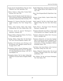- Jacobs, James R. Tarnished Warrior: Maj. Gen. James Wilkinson New York: Macmillan 1938
- Jellison, Charles A. Ethan Allen: Frontier Rebel. Syracuse, New York, 1983.
- Johnson, David R. Benedict Arnold: The Traitor as a Hero in American Literature. Unpublished doctoral dissertation, Pennsylvania State University, 1975.
- Morpurgo, J.E., Treason at West Point: The Arnold-Andre' Conspiracy. New York: Vantage Press, 1977.
- Nathan, Adele Gutman. Major John Andre: Gentleman Spy. New York: Franklin Watts, 1969.
- O'Conner, David B. General Washington's Spymaster. Copyright 1990.
- Palsgrave Wyllys: A Digressive History. New Haven, CT; Privately Printed, 1941.
- Partridge, William, Nathan Hale: The Ideal Patriot. New York: Funk and Wagnalls Company, 1902.
- Peckham, H.H. British secret Writing in the Revolutionary War. Michigan Alumnus Review, 44, pages 126-31, 1938.
- Pennypacker, Morton, General Washington's Spies on Long Island and in New York. Vol. 1 Brooklyn, NY Long Island Historical Society, 1939; Vol. 2 East Hampton, NY.
- Pennypacker, Morton. The Two Spies: Nathan Hale and Robert Townsend. Boston: Houghton Mifflin, 1930.
- Randall, Willard Sterne. Benedict Arnold Patriot and Traitor. William Morrow and Company, Inc. New York. 1990.
- Reno, J. David Sergeant Bissell's Purple Heart. Copy. 1989.
- Seymour, George Dudley, Captain Nathan Hale, Major John.
- Smith, Joseph B. The Plot to Steal Florida: James Madison's Phony War. New York: Arbor House, 1983.
- Taplin, Winn L. The King's Green Mountain Spymaster. Copyright 1989.
- Thompson, Edmund R. Secret Places: A Spies Guide to Revolutionary New England. Copyright 1990.
- Thompson, Edmund R. Nathan Hale's Necessary Service. Copyright 1989.
- Thompson, Edmund R. ed. Secret New England: Spies of American Revolution. Published by The David Atlee Phillips New England Chapter, Association of Former Intelligence Officers, Kennebunk, Maine. 1991.
- Van Doren, Carl, Secret History of the American Revolution, Viking, New York, 1941.
- Wallace, Willard M. Traitorous Hero: The Life and Fortunes of Benedict Arnold. New York: Harper and Brothers, 1954.
- Wise, William. The Spy and General Washington. New York: Dutton, 1965.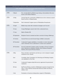# IMPORTANT DATES AND COUNTERINTELLIGENCE EVENTS

# THE AMERICAN REVOLUTION AND POST ERA,

| 1770 | 5 March      | Five colonists killed by British troops during a demonstration. Becomes<br>known as the Boston Massacre.                                                                        |
|------|--------------|---------------------------------------------------------------------------------------------------------------------------------------------------------------------------------|
| 1774 | 13 May       | General Gage, the commander of British forces in the colonies, is named<br>Royal Governor of Massachusetts.                                                                     |
|      | 5 September  | First Continental Congress opens in Philadelphia, Pennsylvania.                                                                                                                 |
| 1775 | 19 April     | British troops clash with colonials at Lexington and Concord.                                                                                                                   |
|      | 15 June      | George Washington named chief of the continental forces.                                                                                                                        |
|      | 17 June      | Battle of Bunker Hill.                                                                                                                                                          |
|      | 30 September | Benjamin Church is arrested and later convicted of being a British spy.                                                                                                         |
|      | 10 October   | General Howe succeeds General Gage as British commander.                                                                                                                        |
|      | 20 November  | Continental Congress establishes a Committee to review intercepted<br>mail to determine who is authorized to conduct such operations.                                           |
|      | 29 November  | Second Continental Congress creates Committee of Secret Correspon-<br>dence. Members are Benjamin Franklin, John Dickinson, Benjamin<br>Harrison, John Jay, and Thomas Johnson. |
| 1776 | 2 May        | France decides to aid America and sets up a cover company to supply<br>munitions to the colonies.                                                                               |
|      | June         | Committee (later Commission) for Detecting and Defeating Conspira-<br>cies established in New York.                                                                             |
|      | 12 June      | Continental Congress adopts first secrecy agreement for government<br>employees.                                                                                                |
|      | 28 June      | Sgt. Thomas Hickey, a member of Washington's guards, is hanged for his<br>role in a plot to kill the General. First American soldier executed by<br>military court.             |
|      | 4 July       | Declaration of American Independence signed in Philadelphia.                                                                                                                    |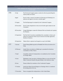# THE AMERICAN REVOLUTION AND POST ERA,

| 1776 | 16 July      | The Provincial Congress passes a motion by John Jay prescribing the<br>death penalty for treason.                                                                   |
|------|--------------|---------------------------------------------------------------------------------------------------------------------------------------------------------------------|
|      | August       | Enoch Crosby contacts Committee for Detecting and Defeating Con-<br>spiracies and agrees to become a double agent.                                                  |
|      | 21 August    | The first Espionage Act adopted by the Continental Congress.                                                                                                        |
|      | 23 December  | Enoch Crosby dispatched on his second double agent mission by the<br>Committee.                                                                                     |
|      | 26 December  | George Washington crosses the Delaware River and attacks and captures<br>the Hessians.                                                                              |
|      | 21 September | The New York Convention reestablished the committee to detect, and<br>defeat all conspiracies which may be formed in the State against the<br>liberties of America. |
|      | 22 September | Nathan Hale is captured and hanged as a spy by the British.                                                                                                         |
| 1777 | 4 January    | Daniel Strang, British spy, tried at Peekskill, New York and sentenced to<br>hang.                                                                                  |
|      | 12 February  | Joseph Hyson recruited as a British spy to penetrate the American<br>Commission in Paris, France.                                                                   |
|      | 17 April     | Committee of Secret Correspondence reconstituted as the Committee<br>for Foreign Affairs.                                                                           |
|      | 14 June      | Washington notes execution of Abraham Patten as a spy and says that<br>Patten conducted himself with great fidelity to the American cause.                          |
|      | 24 June      | Treason defined by resolution of the Continental Congress.                                                                                                          |
|      | 17 October   | Americans defeat General Burgoyne at Saratoga which is considered<br>the turning point in the war.                                                                  |
|      | 17 December  | France recognized the independence of the United States.                                                                                                            |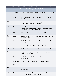THE AMERICAN REVOLUTION AND POST ERA,

| 1778 | 13 January   | Matthias Colbhart is tried as a British spy, found guilty and subsequently<br>hanged.                                                                                                      |
|------|--------------|--------------------------------------------------------------------------------------------------------------------------------------------------------------------------------------------|
|      | 8 May        | General Clinton succeeded General Howe as British commander in<br>the colonies.                                                                                                            |
| 1779 | 12 January   | Thomas Paine fired from his post with Foreign Affairs Committee for<br>violation of government secrecy agreement.                                                                          |
| 1780 | 20 September | Major John Andre, head of British intelligence in the colonies, is cap-<br>tured by American miltiamen after meeting with General Benedict<br>Arnold. Arnold escapes to the British lines. |
|      | 2 October    | British spy John Andre is hanged in Tappan, New York.                                                                                                                                      |
| 1781 | March        | James Armistead volunteers to be an American spy against the British<br>at Yorktown, Virgina.                                                                                              |
|      | August       | Daniel Bissell is dispatched as an American spy against the British in<br>New York.                                                                                                        |
|      | 19 October   | Washington accepts formal surrender of Cronwallis' army at Yorktown.                                                                                                                       |
| 1782 | 4 April      | Sir Guy Carleton succeeds General Clinton as British commander.                                                                                                                            |
| 1783 | 19 April     | Continental Army receives official announcement of "cessation of<br>hostilities" with Great Britain.                                                                                       |
|      | 8 June       | Daniel Bissell is awarded the Purple Heart for his work as an<br>American spy.                                                                                                             |
|      | 3 September  | Peace Treaty signed between England and the United States.                                                                                                                                 |
|      | 4 December   | Last of the British troops leave the United States.                                                                                                                                        |
| 1787 | May          | Consitutional Convention established the President as the manager<br>of intelligence.                                                                                                      |
| 1789 | 27 July      | Department of Foreign Affairs established; officially redesignated<br>Department of State on 15 September 1789.                                                                            |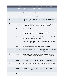# THE AMERICAN REVOLUTION AND POST ERA,

| 1789 | 7 August    | Department of War created.                                                                                                                                              |
|------|-------------|-------------------------------------------------------------------------------------------------------------------------------------------------------------------------|
|      | 2 September | Department of Treasury established.                                                                                                                                     |
| 1790 | 1 July      | Congress authorizes Contingent Fund of Foreign Intercourse, the so-<br>called secret fund.                                                                              |
| 1798 | 18 October  | XYZ Affair; representatives of French Minister Talleyrand suggests US pay<br>a bribe to France to recognize the American Commission.                                    |
|      | 3 May       | Department of Navy established.                                                                                                                                         |
|      | 18 June     | The Naturalization Act passed, establishing a uniform rule of naturaliza-<br>tion in the US. This act was never enforced.                                               |
|      | 25 June     | Alien Act passed which gave the President the power to expel any alien<br>from the country. The act was never enforced.                                                 |
|      | 6 July      | The Alien Enemies Act passed. This act made any aliens subject to arrest<br>during a time of war. The act was never enforced.                                           |
|      | 14 July     | The Sedition Act passed (expired/repealed in 1800-1802).                                                                                                                |
| 1803 | 18 January  | President Jefferson requests covert funding from Congress for the Lewis<br>and Clark expedition, an intelligence gathering operation.                                   |
| 1805 | 9 August    | Zebulon Pike leads expedition as part of an intelligence operation<br>targeting the Spanish lands in the west. His arrest as a spy created a<br>controversy with Spain. |
| 1807 | 19 February | Aaron Burr arrested and indicted for treason. Found not guilty.                                                                                                         |
| 1811 | 15 January  | President Madison obtained secret Congressional approval for covert<br>action to acquire the Florida's.                                                                 |
| 1812 | 20 February | Madison purchased letters from British spy, John Henry, proving British<br>operations in the US.                                                                        |
| 1818 | 7 April     | Andrew Jackson invaded Florida.                                                                                                                                         |